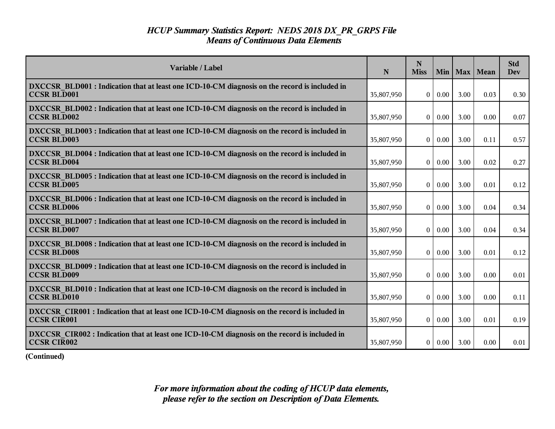| Variable / Label                                                                                                    | N          | N<br><b>Miss</b>  | Min 1    | Max  | Mean | <b>Std</b><br>Dev |
|---------------------------------------------------------------------------------------------------------------------|------------|-------------------|----------|------|------|-------------------|
| DXCCSR BLD001 : Indication that at least one ICD-10-CM diagnosis on the record is included in<br><b>CCSR BLD001</b> | 35,807,950 | $\overline{0}$    | 0.00     | 3.00 | 0.03 | 0.30              |
| DXCCSR BLD002 : Indication that at least one ICD-10-CM diagnosis on the record is included in<br><b>CCSR BLD002</b> | 35,807,950 | $\overline{0}$    | 0.00     | 3.00 | 0.00 | 0.07              |
| DXCCSR BLD003 : Indication that at least one ICD-10-CM diagnosis on the record is included in<br><b>CCSR BLD003</b> | 35,807,950 | $\theta$          | 0.00     | 3.00 | 0.11 | 0.57              |
| DXCCSR BLD004 : Indication that at least one ICD-10-CM diagnosis on the record is included in<br><b>CCSR BLD004</b> | 35,807,950 | 0                 | 0.00     | 3.00 | 0.02 | 0.27              |
| DXCCSR BLD005 : Indication that at least one ICD-10-CM diagnosis on the record is included in<br><b>CCSR BLD005</b> | 35,807,950 | 0 <sup>1</sup>    | 0.00     | 3.00 | 0.01 | 0.12              |
| DXCCSR BLD006 : Indication that at least one ICD-10-CM diagnosis on the record is included in<br><b>CCSR BLD006</b> | 35,807,950 | $\bf{0}$          | 0.00     | 3.00 | 0.04 | 0.34              |
| DXCCSR BLD007 : Indication that at least one ICD-10-CM diagnosis on the record is included in<br><b>CCSR BLD007</b> | 35,807,950 | $\theta$          | 0.00     | 3.00 | 0.04 | 0.34              |
| DXCCSR BLD008 : Indication that at least one ICD-10-CM diagnosis on the record is included in<br><b>CCSR BLD008</b> | 35,807,950 | 0 <sup>1</sup>    | 0.00     | 3.00 | 0.01 | 0.12              |
| DXCCSR BLD009 : Indication that at least one ICD-10-CM diagnosis on the record is included in<br><b>CCSR BLD009</b> | 35,807,950 | $\overline{0}$    | 0.00     | 3.00 | 0.00 | 0.01              |
| DXCCSR BLD010 : Indication that at least one ICD-10-CM diagnosis on the record is included in<br><b>CCSR BLD010</b> | 35,807,950 | $\theta$          | 0.00     | 3.00 | 0.00 | 0.11              |
| DXCCSR CIR001 : Indication that at least one ICD-10-CM diagnosis on the record is included in<br><b>CCSR CIR001</b> | 35,807,950 | $\vert$ 0 $\vert$ | $0.00\,$ | 3.00 | 0.01 | 0.19              |
| DXCCSR CIR002 : Indication that at least one ICD-10-CM diagnosis on the record is included in<br><b>CCSR CIR002</b> | 35,807,950 |                   | 0   0.00 | 3.00 | 0.00 | 0.01              |

**(Continued)**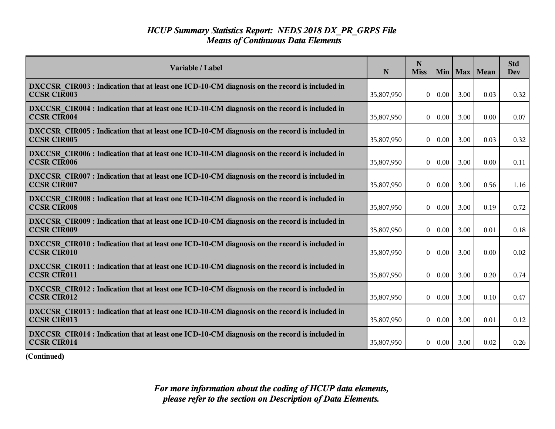| Variable / Label                                                                                                    | N          | N<br><b>Miss</b> |               |      | Min   Max   Mean | <b>Std</b><br><b>Dev</b> |
|---------------------------------------------------------------------------------------------------------------------|------------|------------------|---------------|------|------------------|--------------------------|
| DXCCSR CIR003 : Indication that at least one ICD-10-CM diagnosis on the record is included in<br><b>CCSR CIR003</b> | 35,807,950 |                  | 0   0.00      | 3.00 | 0.03             | 0.32                     |
| DXCCSR CIR004 : Indication that at least one ICD-10-CM diagnosis on the record is included in<br><b>CCSR CIR004</b> | 35,807,950 | $\theta$         | 0.00          | 3.00 | 0.00             | 0.07                     |
| DXCCSR CIR005 : Indication that at least one ICD-10-CM diagnosis on the record is included in<br><b>CCSR CIR005</b> | 35,807,950 | $\theta$         | 0.00          | 3.00 | 0.03             | 0.32                     |
| DXCCSR CIR006 : Indication that at least one ICD-10-CM diagnosis on the record is included in<br><b>CCSR CIR006</b> | 35,807,950 | $\mathbf{0}$     | 0.00          | 3.00 | 0.00             | 0.11                     |
| DXCCSR CIR007 : Indication that at least one ICD-10-CM diagnosis on the record is included in<br><b>CCSR CIR007</b> | 35,807,950 | $\theta$         | 0.00          | 3.00 | 0.56             | 1.16                     |
| DXCCSR CIR008 : Indication that at least one ICD-10-CM diagnosis on the record is included in<br><b>CCSR CIR008</b> | 35,807,950 | $\theta$         | 0.00          | 3.00 | 0.19             | 0.72                     |
| DXCCSR CIR009 : Indication that at least one ICD-10-CM diagnosis on the record is included in<br><b>CCSR CIR009</b> | 35,807,950 | $\theta$         | 0.00          | 3.00 | 0.01             | 0.18                     |
| DXCCSR CIR010 : Indication that at least one ICD-10-CM diagnosis on the record is included in<br><b>CCSR CIR010</b> | 35,807,950 |                  | $0 \mid 0.00$ | 3.00 | 0.00             | 0.02                     |
| DXCCSR CIR011 : Indication that at least one ICD-10-CM diagnosis on the record is included in<br><b>CCSR CIR011</b> | 35,807,950 | $\mathbf{0}$     | 0.00          | 3.00 | 0.20             | 0.74                     |
| DXCCSR CIR012 : Indication that at least one ICD-10-CM diagnosis on the record is included in<br><b>CCSR CIR012</b> | 35,807,950 | $\theta$         | 0.00          | 3.00 | 0.10             | 0.47                     |
| DXCCSR CIR013 : Indication that at least one ICD-10-CM diagnosis on the record is included in<br><b>CCSR CIR013</b> | 35,807,950 | $\theta$         | 0.00          | 3.00 | 0.01             | 0.12                     |
| DXCCSR CIR014 : Indication that at least one ICD-10-CM diagnosis on the record is included in<br><b>CCSR CIR014</b> | 35,807,950 | $\vert 0 \vert$  | 0.00          | 3.00 | 0.02             | 0.26                     |

**(Continued)**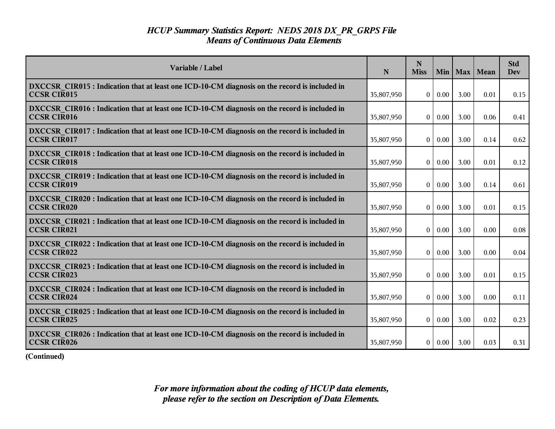| Variable / Label                                                                                                    | N          | N<br><b>Miss</b> | Min      |      | Max   Mean | <b>Std</b><br><b>Dev</b> |
|---------------------------------------------------------------------------------------------------------------------|------------|------------------|----------|------|------------|--------------------------|
| DXCCSR CIR015 : Indication that at least one ICD-10-CM diagnosis on the record is included in<br><b>CCSR CIR015</b> | 35,807,950 | $\Omega$         | 0.00     | 3.00 | 0.01       | 0.15                     |
| DXCCSR CIR016 : Indication that at least one ICD-10-CM diagnosis on the record is included in<br><b>CCSR CIR016</b> | 35,807,950 | $\overline{0}$   | 0.00     | 3.00 | 0.06       | 0.41                     |
| DXCCSR CIR017 : Indication that at least one ICD-10-CM diagnosis on the record is included in<br><b>CCSR CIR017</b> | 35,807,950 | $\overline{0}$   | 0.00     | 3.00 | 0.14       | 0.62                     |
| DXCCSR CIR018 : Indication that at least one ICD-10-CM diagnosis on the record is included in<br><b>CCSR CIR018</b> | 35,807,950 | $\overline{0}$   | 0.00     | 3.00 | 0.01       | 0.12                     |
| DXCCSR CIR019 : Indication that at least one ICD-10-CM diagnosis on the record is included in<br><b>CCSR CIR019</b> | 35,807,950 | $\vert 0 \vert$  | 0.00     | 3.00 | 0.14       | 0.61                     |
| DXCCSR CIR020 : Indication that at least one ICD-10-CM diagnosis on the record is included in<br><b>CCSR CIR020</b> | 35,807,950 | $\overline{0}$   | 0.00     | 3.00 | 0.01       | 0.15                     |
| DXCCSR CIR021 : Indication that at least one ICD-10-CM diagnosis on the record is included in<br><b>CCSR CIR021</b> | 35,807,950 | $\theta$         | 0.00     | 3.00 | 0.00       | 0.08                     |
| DXCCSR CIR022 : Indication that at least one ICD-10-CM diagnosis on the record is included in<br><b>CCSR CIR022</b> | 35,807,950 | $\overline{0}$   | 0.00     | 3.00 | 0.00       | 0.04                     |
| DXCCSR CIR023 : Indication that at least one ICD-10-CM diagnosis on the record is included in<br><b>CCSR CIR023</b> | 35,807,950 | $\overline{0}$   | 0.00     | 3.00 | 0.01       | 0.15                     |
| DXCCSR CIR024 : Indication that at least one ICD-10-CM diagnosis on the record is included in<br><b>CCSR CIR024</b> | 35,807,950 | $\overline{0}$   | 0.00     | 3.00 | 0.00       | 0.11                     |
| DXCCSR CIR025 : Indication that at least one ICD-10-CM diagnosis on the record is included in<br><b>CCSR CIR025</b> | 35,807,950 | $\Omega$         | $0.00\,$ | 3.00 | 0.02       | 0.23                     |
| DXCCSR CIR026 : Indication that at least one ICD-10-CM diagnosis on the record is included in<br><b>CCSR CIR026</b> | 35,807,950 | $\vert 0 \vert$  | $0.00\,$ | 3.00 | 0.03       | 0.31                     |

**(Continued)**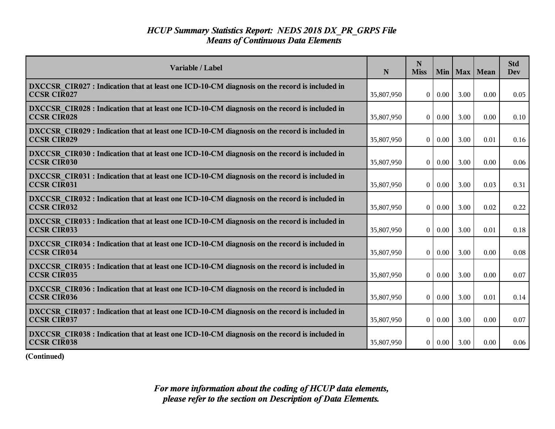| Variable / Label                                                                                                    | N          | N<br><b>Miss</b> |          |      | Min   Max   Mean | <b>Std</b><br><b>Dev</b> |
|---------------------------------------------------------------------------------------------------------------------|------------|------------------|----------|------|------------------|--------------------------|
| DXCCSR CIR027 : Indication that at least one ICD-10-CM diagnosis on the record is included in<br><b>CCSR CIR027</b> | 35,807,950 | $\overline{0}$   | 0.00     | 3.00 | 0.00             | 0.05                     |
| DXCCSR CIR028 : Indication that at least one ICD-10-CM diagnosis on the record is included in<br><b>CCSR CIR028</b> | 35,807,950 | $\overline{0}$   | 0.00     | 3.00 | 0.00             | 0.10                     |
| DXCCSR CIR029 : Indication that at least one ICD-10-CM diagnosis on the record is included in<br><b>CCSR CIR029</b> | 35,807,950 | $\theta$         | 0.00     | 3.00 | 0.01             | 0.16                     |
| DXCCSR CIR030 : Indication that at least one ICD-10-CM diagnosis on the record is included in<br><b>CCSR CIR030</b> | 35,807,950 | 0                | 0.00     | 3.00 | 0.00             | 0.06                     |
| DXCCSR_CIR031 : Indication that at least one ICD-10-CM diagnosis on the record is included in<br><b>CCSR CIR031</b> | 35,807,950 | $\overline{0}$   | 0.00     | 3.00 | 0.03             | 0.31                     |
| DXCCSR CIR032 : Indication that at least one ICD-10-CM diagnosis on the record is included in<br><b>CCSR CIR032</b> | 35,807,950 | 0                | 0.00     | 3.00 | 0.02             | 0.22                     |
| DXCCSR CIR033 : Indication that at least one ICD-10-CM diagnosis on the record is included in<br><b>CCSR CIR033</b> | 35,807,950 | $\theta$         | 0.00     | 3.00 | 0.01             | 0.18                     |
| DXCCSR CIR034 : Indication that at least one ICD-10-CM diagnosis on the record is included in<br><b>CCSR CIR034</b> | 35,807,950 | $\overline{0}$   | 0.00     | 3.00 | 0.00             | 0.08                     |
| DXCCSR CIR035 : Indication that at least one ICD-10-CM diagnosis on the record is included in<br><b>CCSR CIR035</b> | 35,807,950 | $\overline{0}$   | 0.00     | 3.00 | 0.00             | 0.07                     |
| DXCCSR CIR036 : Indication that at least one ICD-10-CM diagnosis on the record is included in<br><b>CCSR CIR036</b> | 35,807,950 | $\theta$         | 0.00     | 3.00 | 0.01             | 0.14                     |
| DXCCSR CIR037 : Indication that at least one ICD-10-CM diagnosis on the record is included in<br><b>CCSR CIR037</b> | 35,807,950 | $\overline{0}$   | $0.00\,$ | 3.00 | 0.00             | 0.07                     |
| DXCCSR CIR038 : Indication that at least one ICD-10-CM diagnosis on the record is included in<br><b>CCSR CIR038</b> | 35,807,950 |                  | 0   0.00 | 3.00 | 0.00             | 0.06                     |

**(Continued)**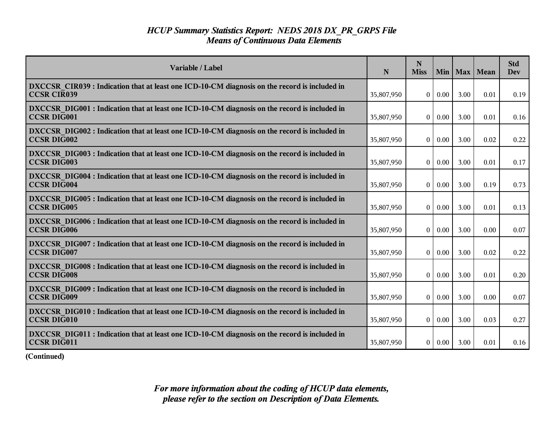| Variable / Label                                                                                                    | N          | N<br><b>Miss</b> | Min  |      | Max   Mean | <b>Std</b><br><b>Dev</b> |
|---------------------------------------------------------------------------------------------------------------------|------------|------------------|------|------|------------|--------------------------|
| DXCCSR CIR039 : Indication that at least one ICD-10-CM diagnosis on the record is included in<br><b>CCSR CIR039</b> | 35,807,950 | $\Omega$         | 0.00 | 3.00 | 0.01       | 0.19                     |
| DXCCSR DIG001 : Indication that at least one ICD-10-CM diagnosis on the record is included in<br><b>CCSR DIG001</b> | 35,807,950 | $\mathbf{0}$     | 0.00 | 3.00 | 0.01       | 0.16                     |
| DXCCSR DIG002 : Indication that at least one ICD-10-CM diagnosis on the record is included in<br><b>CCSR DIG002</b> | 35,807,950 | $\theta$         | 0.00 | 3.00 | 0.02       | 0.22                     |
| DXCCSR DIG003 : Indication that at least one ICD-10-CM diagnosis on the record is included in<br><b>CCSR DIG003</b> | 35,807,950 | $\overline{0}$   | 0.00 | 3.00 | 0.01       | 0.17                     |
| DXCCSR DIG004 : Indication that at least one ICD-10-CM diagnosis on the record is included in<br><b>CCSR DIG004</b> | 35,807,950 | $\vert 0 \vert$  | 0.00 | 3.00 | 0.19       | 0.73                     |
| DXCCSR DIG005 : Indication that at least one ICD-10-CM diagnosis on the record is included in<br><b>CCSR DIG005</b> | 35,807,950 | $\overline{0}$   | 0.00 | 3.00 | 0.01       | 0.13                     |
| DXCCSR DIG006 : Indication that at least one ICD-10-CM diagnosis on the record is included in<br><b>CCSR DIG006</b> | 35,807,950 | $\theta$         | 0.00 | 3.00 | 0.00       | 0.07                     |
| DXCCSR DIG007 : Indication that at least one ICD-10-CM diagnosis on the record is included in<br><b>CCSR DIG007</b> | 35,807,950 | 0                | 0.00 | 3.00 | 0.02       | 0.22                     |
| DXCCSR DIG008 : Indication that at least one ICD-10-CM diagnosis on the record is included in<br><b>CCSR DIG008</b> | 35,807,950 | $\theta$         | 0.00 | 3.00 | 0.01       | 0.20                     |
| DXCCSR DIG009 : Indication that at least one ICD-10-CM diagnosis on the record is included in<br><b>CCSR DIG009</b> | 35,807,950 | $\overline{0}$   | 0.00 | 3.00 | 0.00       | 0.07                     |
| DXCCSR_DIG010 : Indication that at least one ICD-10-CM diagnosis on the record is included in<br><b>CCSR DIG010</b> | 35,807,950 | $\vert 0 \vert$  | 0.00 | 3.00 | 0.03       | 0.27                     |
| DXCCSR DIG011 : Indication that at least one ICD-10-CM diagnosis on the record is included in<br><b>CCSR DIG011</b> | 35,807,950 | 0                | 0.00 | 3.00 | 0.01       | 0.16                     |

**(Continued)**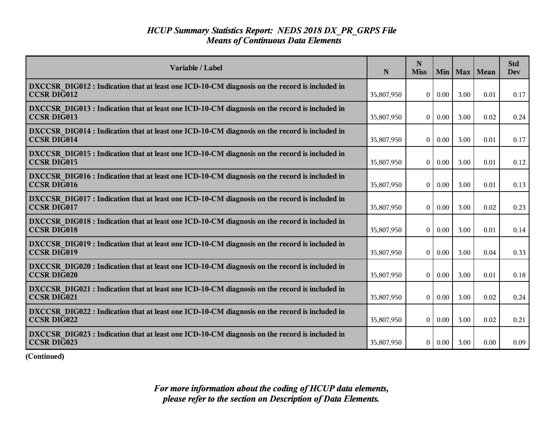| Variable / Label                                                                                                    | N          | N<br><b>Miss</b> |               | Min   Max | Mean | <b>Std</b><br><b>Dev</b> |
|---------------------------------------------------------------------------------------------------------------------|------------|------------------|---------------|-----------|------|--------------------------|
| DXCCSR DIG012 : Indication that at least one ICD-10-CM diagnosis on the record is included in<br><b>CCSR DIG012</b> | 35,807,950 | $\overline{0}$   | 0.00          | 3.00      | 0.01 | 0.17                     |
| DXCCSR DIG013 : Indication that at least one ICD-10-CM diagnosis on the record is included in<br><b>CCSR DIG013</b> | 35,807,950 | $\overline{0}$   | 0.00          | 3.00      | 0.02 | 0.24                     |
| DXCCSR DIG014 : Indication that at least one ICD-10-CM diagnosis on the record is included in<br><b>CCSR DIG014</b> | 35,807,950 | $\bf{0}$         | 0.00          | 3.00      | 0.01 | 0.17                     |
| DXCCSR DIG015 : Indication that at least one ICD-10-CM diagnosis on the record is included in<br><b>CCSR DIG015</b> | 35,807,950 | $\vert 0 \vert$  | 0.00          | 3.00      | 0.01 | 0.12                     |
| DXCCSR DIG016 : Indication that at least one ICD-10-CM diagnosis on the record is included in<br><b>CCSR DIG016</b> | 35,807,950 | 0 <sup>1</sup>   | 0.00          | 3.00      | 0.01 | 0.13                     |
| DXCCSR DIG017 : Indication that at least one ICD-10-CM diagnosis on the record is included in<br><b>CCSR DIG017</b> | 35,807,950 | $\bf{0}$         | 0.00          | 3.00      | 0.02 | 0.23                     |
| DXCCSR DIG018 : Indication that at least one ICD-10-CM diagnosis on the record is included in<br><b>CCSR DIG018</b> | 35,807,950 | 0                | 0.00          | 3.00      | 0.01 | 0.14                     |
| DXCCSR DIG019 : Indication that at least one ICD-10-CM diagnosis on the record is included in<br><b>CCSR DIG019</b> | 35,807,950 | $\overline{0}$   | 0.00          | 3.00      | 0.04 | 0.33                     |
| DXCCSR DIG020 : Indication that at least one ICD-10-CM diagnosis on the record is included in<br><b>CCSR DIG020</b> | 35,807,950 | $\overline{0}$   | 0.00          | 3.00      | 0.01 | 0.18                     |
| DXCCSR DIG021 : Indication that at least one ICD-10-CM diagnosis on the record is included in<br><b>CCSR DIG021</b> | 35,807,950 | $\vert 0 \vert$  | 0.00          | 3.00      | 0.02 | 0.24                     |
| DXCCSR_DIG022 : Indication that at least one ICD-10-CM diagnosis on the record is included in<br><b>CCSR DIG022</b> | 35,807,950 | $\overline{0}$   | $0.00\,$      | 3.00      | 0.02 | 0.21                     |
| DXCCSR DIG023 : Indication that at least one ICD-10-CM diagnosis on the record is included in<br><b>CCSR DIG023</b> | 35,807,950 |                  | $0 \mid 0.00$ | 3.00      | 0.00 | 0.09                     |

**(Continued)**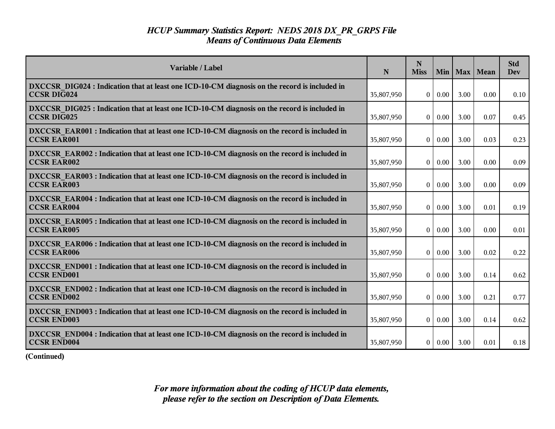| Variable / Label                                                                                                    | N          | N<br><b>Miss</b> | Min  |      | Max   Mean | <b>Std</b><br><b>Dev</b> |
|---------------------------------------------------------------------------------------------------------------------|------------|------------------|------|------|------------|--------------------------|
| DXCCSR DIG024 : Indication that at least one ICD-10-CM diagnosis on the record is included in<br><b>CCSR DIG024</b> | 35,807,950 | $\Omega$         | 0.00 | 3.00 | 0.00       | 0.10                     |
| DXCCSR DIG025 : Indication that at least one ICD-10-CM diagnosis on the record is included in<br>CCSR DIG025        | 35,807,950 | $\overline{0}$   | 0.00 | 3.00 | 0.07       | 0.45                     |
| DXCCSR EAR001 : Indication that at least one ICD-10-CM diagnosis on the record is included in<br><b>CCSR EAR001</b> | 35,807,950 | $\theta$         | 0.00 | 3.00 | 0.03       | 0.23                     |
| DXCCSR EAR002 : Indication that at least one ICD-10-CM diagnosis on the record is included in<br><b>CCSR EAR002</b> | 35,807,950 | $\mathbf{0}$     | 0.00 | 3.00 | 0.00       | 0.09                     |
| DXCCSR EAR003 : Indication that at least one ICD-10-CM diagnosis on the record is included in<br><b>CCSR EAR003</b> | 35,807,950 | $\overline{0}$   | 0.00 | 3.00 | 0.00       | 0.09                     |
| DXCCSR EAR004 : Indication that at least one ICD-10-CM diagnosis on the record is included in<br><b>CCSR EAR004</b> | 35,807,950 | $\mathbf{0}$     | 0.00 | 3.00 | 0.01       | 0.19                     |
| DXCCSR EAR005 : Indication that at least one ICD-10-CM diagnosis on the record is included in<br><b>CCSR EAR005</b> | 35,807,950 | $\mathbf{0}$     | 0.00 | 3.00 | 0.00       | 0.01                     |
| DXCCSR EAR006 : Indication that at least one ICD-10-CM diagnosis on the record is included in<br><b>CCSR EAR006</b> | 35,807,950 | $\theta$         | 0.00 | 3.00 | 0.02       | 0.22                     |
| DXCCSR END001 : Indication that at least one ICD-10-CM diagnosis on the record is included in<br><b>CCSR END001</b> | 35,807,950 | $\mathbf{0}$     | 0.00 | 3.00 | 0.14       | 0.62                     |
| DXCCSR END002 : Indication that at least one ICD-10-CM diagnosis on the record is included in<br><b>CCSR END002</b> | 35,807,950 | $\mathbf{0}$     | 0.00 | 3.00 | 0.21       | 0.77                     |
| DXCCSR END003 : Indication that at least one ICD-10-CM diagnosis on the record is included in<br><b>CCSR END003</b> | 35,807,950 | $\theta$         | 0.00 | 3.00 | 0.14       | 0.62                     |
| DXCCSR END004 : Indication that at least one ICD-10-CM diagnosis on the record is included in<br><b>CCSR END004</b> | 35,807,950 | 0                | 0.00 | 3.00 | 0.01       | 0.18                     |

**(Continued)**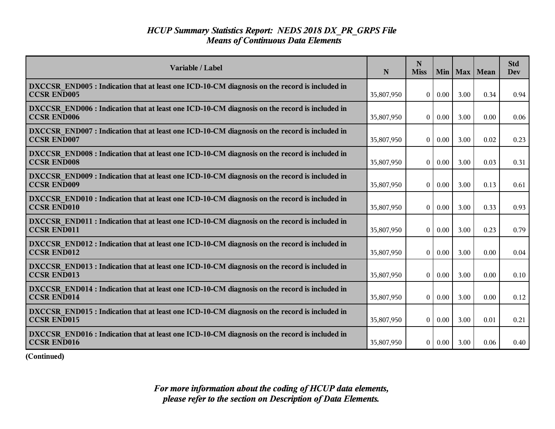| Variable / Label                                                                                                    | N          | N<br><b>Miss</b> | Min  |      | Max   Mean | <b>Std</b><br><b>Dev</b> |
|---------------------------------------------------------------------------------------------------------------------|------------|------------------|------|------|------------|--------------------------|
| DXCCSR END005 : Indication that at least one ICD-10-CM diagnosis on the record is included in<br><b>CCSR END005</b> | 35,807,950 | $\overline{0}$   | 0.00 | 3.00 | 0.34       | 0.94                     |
| DXCCSR END006 : Indication that at least one ICD-10-CM diagnosis on the record is included in<br><b>CCSR END006</b> | 35,807,950 | $\theta$         | 0.00 | 3.00 | 0.00       | 0.06                     |
| DXCCSR END007 : Indication that at least one ICD-10-CM diagnosis on the record is included in<br><b>CCSR END007</b> | 35,807,950 | $\theta$         | 0.00 | 3.00 | 0.02       | 0.23                     |
| DXCCSR END008 : Indication that at least one ICD-10-CM diagnosis on the record is included in<br><b>CCSR END008</b> | 35,807,950 | $\theta$         | 0.00 | 3.00 | 0.03       | 0.31                     |
| DXCCSR END009 : Indication that at least one ICD-10-CM diagnosis on the record is included in<br><b>CCSR END009</b> | 35,807,950 | $\overline{0}$   | 0.00 | 3.00 | 0.13       | 0.61                     |
| DXCCSR END010 : Indication that at least one ICD-10-CM diagnosis on the record is included in<br><b>CCSR END010</b> | 35,807,950 | $\theta$         | 0.00 | 3.00 | 0.33       | 0.93                     |
| DXCCSR END011 : Indication that at least one ICD-10-CM diagnosis on the record is included in<br><b>CCSR END011</b> | 35,807,950 | $\theta$         | 0.00 | 3.00 | 0.23       | 0.79                     |
| DXCCSR END012 : Indication that at least one ICD-10-CM diagnosis on the record is included in<br><b>CCSR END012</b> | 35,807,950 | $\overline{0}$   | 0.00 | 3.00 | 0.00       | 0.04                     |
| DXCCSR END013 : Indication that at least one ICD-10-CM diagnosis on the record is included in<br><b>CCSR END013</b> | 35,807,950 | $\theta$         | 0.00 | 3.00 | 0.00       | 0.10                     |
| DXCCSR END014 : Indication that at least one ICD-10-CM diagnosis on the record is included in<br><b>CCSR END014</b> | 35,807,950 | $\theta$         | 0.00 | 3.00 | 0.00       | 0.12                     |
| DXCCSR END015 : Indication that at least one ICD-10-CM diagnosis on the record is included in<br><b>CCSR END015</b> | 35,807,950 | $\mathbf{0}$     | 0.00 | 3.00 | 0.01       | 0.21                     |
| DXCCSR END016 : Indication that at least one ICD-10-CM diagnosis on the record is included in<br><b>CCSR END016</b> | 35,807,950 | $\overline{0}$   | 0.00 | 3.00 | 0.06       | 0.40                     |

**(Continued)**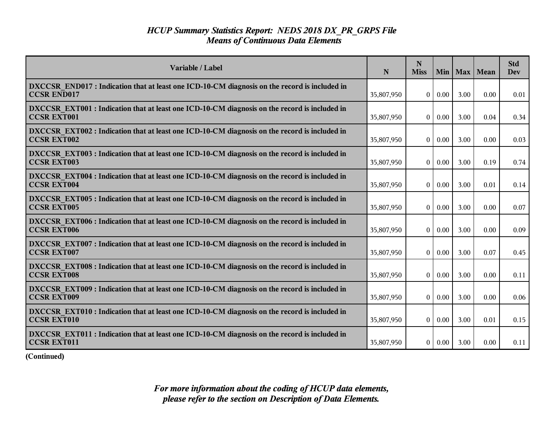| Variable / Label                                                                                                    | N          | N<br><b>Miss</b> | Min           | Max  | Mean | <b>Std</b><br><b>Dev</b> |
|---------------------------------------------------------------------------------------------------------------------|------------|------------------|---------------|------|------|--------------------------|
| DXCCSR END017 : Indication that at least one ICD-10-CM diagnosis on the record is included in<br><b>CCSR END017</b> | 35,807,950 | $\overline{0}$   | 0.00          | 3.00 | 0.00 | 0.01                     |
| DXCCSR EXT001 : Indication that at least one ICD-10-CM diagnosis on the record is included in<br><b>CCSR EXT001</b> | 35,807,950 | $\overline{0}$   | 0.00          | 3.00 | 0.04 | 0.34                     |
| DXCCSR EXT002 : Indication that at least one ICD-10-CM diagnosis on the record is included in<br><b>CCSR EXT002</b> | 35,807,950 | $\theta$         | 0.00          | 3.00 | 0.00 | 0.03                     |
| DXCCSR EXT003 : Indication that at least one ICD-10-CM diagnosis on the record is included in<br><b>CCSR EXT003</b> | 35,807,950 | $\vert 0 \vert$  | 0.00          | 3.00 | 0.19 | 0.74                     |
| DXCCSR EXT004 : Indication that at least one ICD-10-CM diagnosis on the record is included in<br><b>CCSR EXT004</b> | 35,807,950 | $\overline{0}$   | 0.00          | 3.00 | 0.01 | 0.14                     |
| DXCCSR EXT005 : Indication that at least one ICD-10-CM diagnosis on the record is included in<br><b>CCSR EXT005</b> | 35,807,950 | $\bf{0}$         | 0.00          | 3.00 | 0.00 | 0.07                     |
| DXCCSR EXT006 : Indication that at least one ICD-10-CM diagnosis on the record is included in<br><b>CCSR EXT006</b> | 35,807,950 | $\theta$         | 0.00          | 3.00 | 0.00 | 0.09                     |
| DXCCSR EXT007 : Indication that at least one ICD-10-CM diagnosis on the record is included in<br><b>CCSR EXT007</b> | 35,807,950 | $\overline{0}$   | 0.00          | 3.00 | 0.07 | 0.45                     |
| DXCCSR EXT008 : Indication that at least one ICD-10-CM diagnosis on the record is included in<br><b>CCSR EXT008</b> | 35,807,950 | $\overline{0}$   | 0.00          | 3.00 | 0.00 | 0.11                     |
| DXCCSR EXT009 : Indication that at least one ICD-10-CM diagnosis on the record is included in<br><b>CCSR EXT009</b> | 35,807,950 | $\theta$         | 0.00          | 3.00 | 0.00 | 0.06                     |
| DXCCSR EXT010 : Indication that at least one ICD-10-CM diagnosis on the record is included in<br><b>CCSR EXT010</b> | 35,807,950 | $\overline{0}$   | $0.00\,$      | 3.00 | 0.01 | 0.15                     |
| DXCCSR EXT011 : Indication that at least one ICD-10-CM diagnosis on the record is included in<br>CCSR EXT011        | 35,807,950 |                  | $0 \mid 0.00$ | 3.00 | 0.00 | 0.11                     |

**(Continued)**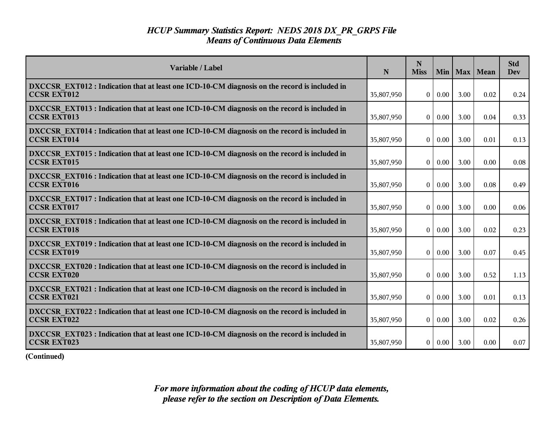| Variable / Label                                                                                                    | N          | N<br><b>Miss</b> | Min 1         |      | Max   Mean | <b>Std</b><br><b>Dev</b> |
|---------------------------------------------------------------------------------------------------------------------|------------|------------------|---------------|------|------------|--------------------------|
| DXCCSR EXT012 : Indication that at least one ICD-10-CM diagnosis on the record is included in<br><b>CCSR EXT012</b> | 35,807,950 | $\overline{0}$   | 0.00          | 3.00 | 0.02       | 0.24                     |
| DXCCSR EXT013 : Indication that at least one ICD-10-CM diagnosis on the record is included in<br><b>CCSR EXT013</b> | 35,807,950 | $\overline{0}$   | 0.00          | 3.00 | 0.04       | 0.33                     |
| DXCCSR EXT014 : Indication that at least one ICD-10-CM diagnosis on the record is included in<br><b>CCSR EXT014</b> | 35,807,950 | $\theta$         | 0.00          | 3.00 | 0.01       | 0.13                     |
| DXCCSR EXT015 : Indication that at least one ICD-10-CM diagnosis on the record is included in<br><b>CCSR EXT015</b> | 35,807,950 | $\vert 0 \vert$  | 0.00          | 3.00 | 0.00       | 0.08                     |
| DXCCSR EXT016 : Indication that at least one ICD-10-CM diagnosis on the record is included in<br><b>CCSR EXT016</b> | 35,807,950 | $\overline{0}$   | 0.00          | 3.00 | 0.08       | 0.49                     |
| DXCCSR EXT017 : Indication that at least one ICD-10-CM diagnosis on the record is included in<br><b>CCSR EXT017</b> | 35,807,950 | $\bf{0}$         | 0.00          | 3.00 | 0.00       | 0.06                     |
| DXCCSR EXT018 : Indication that at least one ICD-10-CM diagnosis on the record is included in<br><b>CCSR EXT018</b> | 35,807,950 | $\theta$         | 0.00          | 3.00 | 0.02       | 0.23                     |
| DXCCSR EXT019 : Indication that at least one ICD-10-CM diagnosis on the record is included in<br><b>CCSR EXT019</b> | 35,807,950 | $\overline{0}$   | 0.00          | 3.00 | 0.07       | 0.45                     |
| DXCCSR EXT020 : Indication that at least one ICD-10-CM diagnosis on the record is included in<br><b>CCSR EXT020</b> | 35,807,950 | $\overline{0}$   | 0.00          | 3.00 | 0.52       | 1.13                     |
| DXCCSR EXT021 : Indication that at least one ICD-10-CM diagnosis on the record is included in<br><b>CCSR EXT021</b> | 35,807,950 | $\theta$         | 0.00          | 3.00 | 0.01       | 0.13                     |
| DXCCSR EXT022 : Indication that at least one ICD-10-CM diagnosis on the record is included in<br><b>CCSR EXT022</b> | 35,807,950 | $\overline{0}$   | $0.00\,$      | 3.00 | 0.02       | 0.26                     |
| DXCCSR EXT023 : Indication that at least one ICD-10-CM diagnosis on the record is included in<br><b>CCSR EXT023</b> | 35,807,950 |                  | $0 \mid 0.00$ | 3.00 | 0.00       | 0.07                     |

**(Continued)**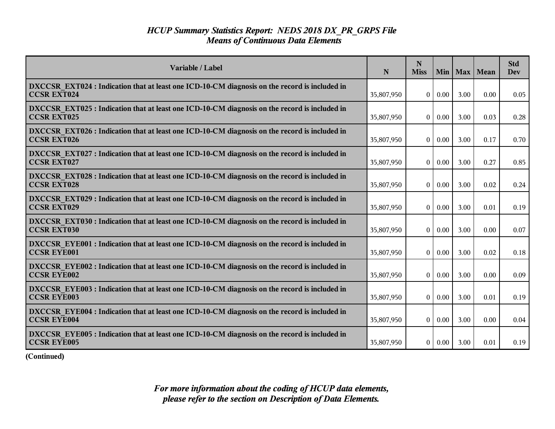| Variable / Label                                                                                                    | N          | N<br><b>Miss</b> | Min           |      | Max   Mean | <b>Std</b><br><b>Dev</b> |
|---------------------------------------------------------------------------------------------------------------------|------------|------------------|---------------|------|------------|--------------------------|
| DXCCSR EXT024 : Indication that at least one ICD-10-CM diagnosis on the record is included in<br><b>CCSR EXT024</b> | 35,807,950 | $\overline{0}$   | 0.00          | 3.00 | 0.00       | 0.05                     |
| DXCCSR EXT025 : Indication that at least one ICD-10-CM diagnosis on the record is included in<br><b>CCSR EXT025</b> | 35,807,950 | $\overline{0}$   | 0.00          | 3.00 | 0.03       | 0.28                     |
| DXCCSR EXT026 : Indication that at least one ICD-10-CM diagnosis on the record is included in<br><b>CCSR EXT026</b> | 35,807,950 | $\theta$         | 0.00          | 3.00 | 0.17       | 0.70                     |
| DXCCSR EXT027 : Indication that at least one ICD-10-CM diagnosis on the record is included in<br><b>CCSR EXT027</b> | 35,807,950 | $\vert 0 \vert$  | 0.00          | 3.00 | 0.27       | 0.85                     |
| DXCCSR EXT028 : Indication that at least one ICD-10-CM diagnosis on the record is included in<br><b>CCSR EXT028</b> | 35,807,950 | $\overline{0}$   | 0.00          | 3.00 | 0.02       | 0.24                     |
| DXCCSR EXT029 : Indication that at least one ICD-10-CM diagnosis on the record is included in<br><b>CCSR EXT029</b> | 35,807,950 | $\bf{0}$         | 0.00          | 3.00 | 0.01       | 0.19                     |
| DXCCSR EXT030 : Indication that at least one ICD-10-CM diagnosis on the record is included in<br><b>CCSR EXT030</b> | 35,807,950 | $\theta$         | 0.00          | 3.00 | 0.00       | 0.07                     |
| DXCCSR EYE001 : Indication that at least one ICD-10-CM diagnosis on the record is included in<br><b>CCSR EYE001</b> | 35,807,950 | $\overline{0}$   | 0.00          | 3.00 | 0.02       | 0.18                     |
| DXCCSR EYE002 : Indication that at least one ICD-10-CM diagnosis on the record is included in<br><b>CCSR EYE002</b> | 35,807,950 | $\overline{0}$   | 0.00          | 3.00 | 0.00       | 0.09                     |
| DXCCSR EYE003 : Indication that at least one ICD-10-CM diagnosis on the record is included in<br><b>CCSR EYE003</b> | 35,807,950 | $\theta$         | 0.00          | 3.00 | 0.01       | 0.19                     |
| DXCCSR EYE004 : Indication that at least one ICD-10-CM diagnosis on the record is included in<br><b>CCSR EYE004</b> | 35,807,950 | $\overline{0}$   | $0.00\,$      | 3.00 | 0.00       | 0.04                     |
| DXCCSR_EYE005 : Indication that at least one ICD-10-CM diagnosis on the record is included in<br><b>CCSR EYE005</b> | 35,807,950 |                  | $0 \mid 0.00$ | 3.00 | 0.01       | 0.19                     |

**(Continued)**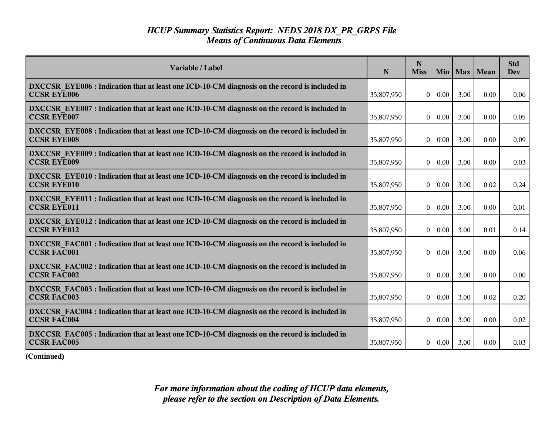| Variable / Label                                                                                                    | N          | N<br><b>Miss</b> | Min           | Max  | Mean | <b>Std</b><br><b>Dev</b> |
|---------------------------------------------------------------------------------------------------------------------|------------|------------------|---------------|------|------|--------------------------|
| DXCCSR EYE006 : Indication that at least one ICD-10-CM diagnosis on the record is included in<br><b>CCSR EYE006</b> | 35,807,950 | $\overline{0}$   | 0.00          | 3.00 | 0.00 | 0.06                     |
| DXCCSR EYE007 : Indication that at least one ICD-10-CM diagnosis on the record is included in<br><b>CCSR EYE007</b> | 35,807,950 | $\overline{0}$   | 0.00          | 3.00 | 0.00 | 0.05                     |
| DXCCSR EYE008 : Indication that at least one ICD-10-CM diagnosis on the record is included in<br><b>CCSR EYE008</b> | 35,807,950 | $\theta$         | 0.00          | 3.00 | 0.00 | 0.09                     |
| DXCCSR EYE009 : Indication that at least one ICD-10-CM diagnosis on the record is included in<br><b>CCSR EYE009</b> | 35,807,950 | $\vert 0 \vert$  | 0.00          | 3.00 | 0.00 | 0.03                     |
| DXCCSR_EYE010 : Indication that at least one ICD-10-CM diagnosis on the record is included in<br><b>CCSR EYE010</b> | 35,807,950 | $\overline{0}$   | 0.00          | 3.00 | 0.02 | 0.24                     |
| DXCCSR EYE011 : Indication that at least one ICD-10-CM diagnosis on the record is included in<br><b>CCSR EYE011</b> | 35,807,950 | $\bf{0}$         | 0.00          | 3.00 | 0.00 | 0.01                     |
| DXCCSR EYE012 : Indication that at least one ICD-10-CM diagnosis on the record is included in<br><b>CCSR EYE012</b> | 35,807,950 | $\theta$         | 0.00          | 3.00 | 0.01 | 0.14                     |
| DXCCSR FAC001 : Indication that at least one ICD-10-CM diagnosis on the record is included in<br><b>CCSR FAC001</b> | 35,807,950 | $\overline{0}$   | 0.00          | 3.00 | 0.00 | 0.06                     |
| DXCCSR FAC002 : Indication that at least one ICD-10-CM diagnosis on the record is included in<br><b>CCSR FAC002</b> | 35,807,950 | $\overline{0}$   | 0.00          | 3.00 | 0.00 | 0.00                     |
| DXCCSR FAC003 : Indication that at least one ICD-10-CM diagnosis on the record is included in<br><b>CCSR FAC003</b> | 35,807,950 | $\theta$         | 0.00          | 3.00 | 0.02 | 0.20                     |
| DXCCSR FAC004 : Indication that at least one ICD-10-CM diagnosis on the record is included in<br><b>CCSR FAC004</b> | 35,807,950 | $\overline{0}$   | $0.00\,$      | 3.00 | 0.00 | 0.02                     |
| DXCCSR FAC005 : Indication that at least one ICD-10-CM diagnosis on the record is included in<br><b>CCSR FAC005</b> | 35,807,950 |                  | $0 \mid 0.00$ | 3.00 | 0.00 | 0.03                     |

**(Continued)**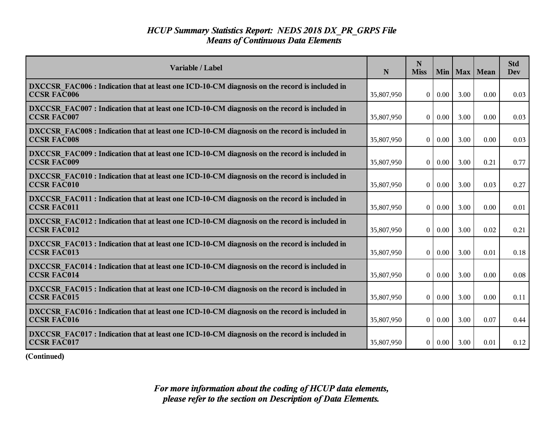| Variable / Label                                                                                                    | N          | N<br><b>Miss</b> | Min  |      | Max   Mean | <b>Std</b><br><b>Dev</b> |
|---------------------------------------------------------------------------------------------------------------------|------------|------------------|------|------|------------|--------------------------|
| DXCCSR FAC006 : Indication that at least one ICD-10-CM diagnosis on the record is included in<br><b>CCSR FAC006</b> | 35,807,950 | $\Omega$         | 0.00 | 3.00 | 0.00       | 0.03                     |
| DXCCSR FAC007 : Indication that at least one ICD-10-CM diagnosis on the record is included in<br><b>CCSR FAC007</b> | 35,807,950 | $\Omega$         | 0.00 | 3.00 | 0.00       | 0.03                     |
| DXCCSR FAC008 : Indication that at least one ICD-10-CM diagnosis on the record is included in<br><b>CCSR FAC008</b> | 35,807,950 | $\overline{0}$   | 0.00 | 3.00 | 0.00       | 0.03                     |
| DXCCSR FAC009 : Indication that at least one ICD-10-CM diagnosis on the record is included in<br><b>CCSR FAC009</b> | 35,807,950 | $\overline{0}$   | 0.00 | 3.00 | 0.21       | 0.77                     |
| DXCCSR FAC010 : Indication that at least one ICD-10-CM diagnosis on the record is included in<br><b>CCSR FAC010</b> | 35,807,950 | 0 <sup>1</sup>   | 0.00 | 3.00 | 0.03       | 0.27                     |
| DXCCSR FAC011 : Indication that at least one ICD-10-CM diagnosis on the record is included in<br><b>CCSR FAC011</b> | 35,807,950 | $\overline{0}$   | 0.00 | 3.00 | 0.00       | 0.01                     |
| DXCCSR FAC012 : Indication that at least one ICD-10-CM diagnosis on the record is included in<br><b>CCSR FAC012</b> | 35,807,950 | $\overline{0}$   | 0.00 | 3.00 | 0.02       | 0.21                     |
| DXCCSR FAC013 : Indication that at least one ICD-10-CM diagnosis on the record is included in<br><b>CCSR FAC013</b> | 35,807,950 | $\Omega$         | 0.00 | 3.00 | 0.01       | 0.18                     |
| DXCCSR FAC014 : Indication that at least one ICD-10-CM diagnosis on the record is included in<br><b>CCSR FAC014</b> | 35,807,950 | $\Omega$         | 0.00 | 3.00 | 0.00       | 0.08                     |
| DXCCSR FAC015 : Indication that at least one ICD-10-CM diagnosis on the record is included in<br><b>CCSR FAC015</b> | 35,807,950 | 0 <sup>1</sup>   | 0.00 | 3.00 | 0.00       | 0.11                     |
| DXCCSR FAC016 : Indication that at least one ICD-10-CM diagnosis on the record is included in<br><b>CCSR FAC016</b> | 35,807,950 | 0 <sup>1</sup>   | 0.00 | 3.00 | 0.07       | 0.44                     |
| DXCCSR FAC017 : Indication that at least one ICD-10-CM diagnosis on the record is included in<br><b>CCSR FAC017</b> | 35,807,950 | 0 <sup>1</sup>   | 0.00 | 3.00 | 0.01       | 0.12                     |

**(Continued)**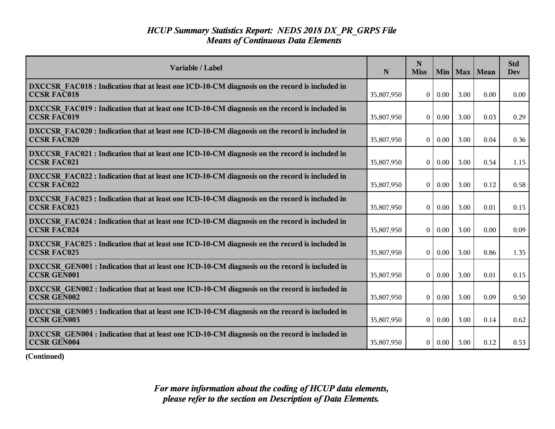| Variable / Label                                                                                                    | N          | N<br><b>Miss</b> | Min           | Max  | Mean | <b>Std</b><br>Dev |
|---------------------------------------------------------------------------------------------------------------------|------------|------------------|---------------|------|------|-------------------|
| DXCCSR FAC018 : Indication that at least one ICD-10-CM diagnosis on the record is included in<br><b>CCSR FAC018</b> | 35,807,950 | $\overline{0}$   | 0.00          | 3.00 | 0.00 | 0.00              |
| DXCCSR FAC019 : Indication that at least one ICD-10-CM diagnosis on the record is included in<br><b>CCSR FAC019</b> | 35,807,950 | $\vert 0 \vert$  | 0.00          | 3.00 | 0.03 | 0.29              |
| DXCCSR FAC020 : Indication that at least one ICD-10-CM diagnosis on the record is included in<br><b>CCSR FAC020</b> | 35,807,950 | $\theta$         | 0.00          | 3.00 | 0.04 | 0.36              |
| DXCCSR FAC021 : Indication that at least one ICD-10-CM diagnosis on the record is included in<br><b>CCSR FAC021</b> | 35,807,950 | 0                | 0.00          | 3.00 | 0.54 | 1.15              |
| DXCCSR FAC022 : Indication that at least one ICD-10-CM diagnosis on the record is included in<br><b>CCSR FAC022</b> | 35,807,950 | 0 <sup>1</sup>   | 0.00          | 3.00 | 0.12 | 0.58              |
| DXCCSR FAC023 : Indication that at least one ICD-10-CM diagnosis on the record is included in<br><b>CCSR FAC023</b> | 35,807,950 | $\bf{0}$         | 0.00          | 3.00 | 0.01 | 0.15              |
| DXCCSR FAC024 : Indication that at least one ICD-10-CM diagnosis on the record is included in<br><b>CCSR FAC024</b> | 35,807,950 | $\theta$         | 0.00          | 3.00 | 0.00 | 0.09              |
| DXCCSR FAC025 : Indication that at least one ICD-10-CM diagnosis on the record is included in<br><b>CCSR FAC025</b> | 35,807,950 | $\overline{0}$   | 0.00          | 3.00 | 0.86 | 1.35              |
| DXCCSR GEN001 : Indication that at least one ICD-10-CM diagnosis on the record is included in<br>CCSR GEN001        | 35,807,950 | $\overline{0}$   | 0.00          | 3.00 | 0.01 | 0.15              |
| DXCCSR GEN002 : Indication that at least one ICD-10-CM diagnosis on the record is included in<br><b>CCSR GEN002</b> | 35,807,950 | $\theta$         | 0.00          | 3.00 | 0.09 | 0.50              |
| DXCCSR GEN003 : Indication that at least one ICD-10-CM diagnosis on the record is included in<br><b>CCSR GEN003</b> | 35,807,950 | $\overline{0}$   | $0.00\,$      | 3.00 | 0.14 | 0.62              |
| DXCCSR_GEN004 : Indication that at least one ICD-10-CM diagnosis on the record is included in<br><b>CCSR GEN004</b> | 35,807,950 |                  | $0 \mid 0.00$ | 3.00 | 0.12 | 0.53              |

**(Continued)**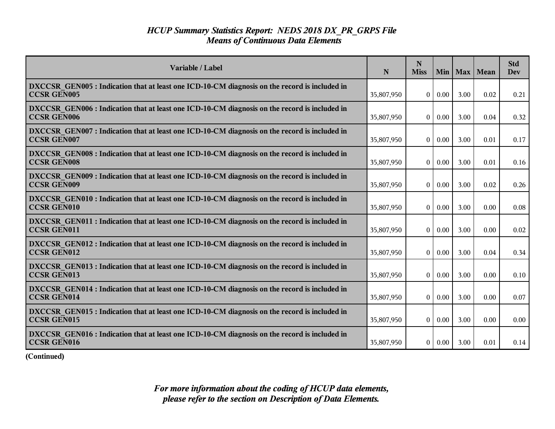| Variable / Label                                                                                                    | N          | N<br><b>Miss</b>  |          | Min   Max | Mean | <b>Std</b><br><b>Dev</b> |
|---------------------------------------------------------------------------------------------------------------------|------------|-------------------|----------|-----------|------|--------------------------|
| DXCCSR GEN005 : Indication that at least one ICD-10-CM diagnosis on the record is included in<br><b>CCSR GEN005</b> | 35,807,950 | $\overline{0}$    | 0.00     | 3.00      | 0.02 | 0.21                     |
| DXCCSR GEN006 : Indication that at least one ICD-10-CM diagnosis on the record is included in<br><b>CCSR GEN006</b> | 35,807,950 | $\overline{0}$    | 0.00     | 3.00      | 0.04 | 0.32                     |
| DXCCSR GEN007 : Indication that at least one ICD-10-CM diagnosis on the record is included in<br><b>CCSR GEN007</b> | 35,807,950 | $\theta$          | 0.00     | 3.00      | 0.01 | 0.17                     |
| DXCCSR GEN008 : Indication that at least one ICD-10-CM diagnosis on the record is included in<br><b>CCSR GEN008</b> | 35,807,950 | 0                 | 0.00     | 3.00      | 0.01 | 0.16                     |
| DXCCSR GEN009 : Indication that at least one ICD-10-CM diagnosis on the record is included in<br><b>CCSR GEN009</b> | 35,807,950 | 0 <sup>1</sup>    | 0.00     | 3.00      | 0.02 | 0.26                     |
| DXCCSR GEN010 : Indication that at least one ICD-10-CM diagnosis on the record is included in<br><b>CCSR GEN010</b> | 35,807,950 | $\overline{0}$    | 0.00     | 3.00      | 0.00 | 0.08                     |
| DXCCSR GEN011 : Indication that at least one ICD-10-CM diagnosis on the record is included in<br><b>CCSR GEN011</b> | 35,807,950 | $\theta$          | 0.00     | 3.00      | 0.00 | 0.02                     |
| DXCCSR GEN012 : Indication that at least one ICD-10-CM diagnosis on the record is included in<br><b>CCSR GEN012</b> | 35,807,950 | $\overline{0}$    | 0.00     | 3.00      | 0.04 | 0.34                     |
| DXCCSR GEN013 : Indication that at least one ICD-10-CM diagnosis on the record is included in<br><b>CCSR GEN013</b> | 35,807,950 | $\overline{0}$    | 0.00     | 3.00      | 0.00 | 0.10                     |
| DXCCSR GEN014 : Indication that at least one ICD-10-CM diagnosis on the record is included in<br><b>CCSR GEN014</b> | 35,807,950 | $\bf{0}$          | 0.00     | 3.00      | 0.00 | 0.07                     |
| DXCCSR GEN015 : Indication that at least one ICD-10-CM diagnosis on the record is included in<br><b>CCSR GEN015</b> | 35,807,950 | $\vert$ 0 $\vert$ | $0.00\,$ | 3.00      | 0.00 | 0.00                     |
| DXCCSR GEN016 : Indication that at least one ICD-10-CM diagnosis on the record is included in<br><b>CCSR GEN016</b> | 35,807,950 |                   | 0   0.00 | 3.00      | 0.01 | 0.14                     |

**(Continued)**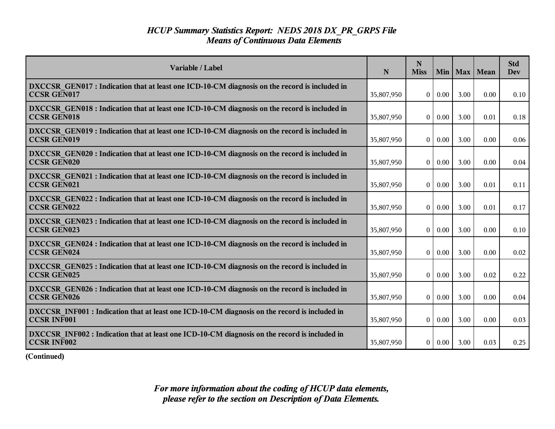| Variable / Label                                                                                                    | N          | N<br><b>Miss</b> |          | Min   Max | Mean | <b>Std</b><br><b>Dev</b> |
|---------------------------------------------------------------------------------------------------------------------|------------|------------------|----------|-----------|------|--------------------------|
| DXCCSR GEN017 : Indication that at least one ICD-10-CM diagnosis on the record is included in<br><b>CCSR GEN017</b> | 35,807,950 | $\overline{0}$   | 0.00     | 3.00      | 0.00 | 0.10                     |
| DXCCSR GEN018 : Indication that at least one ICD-10-CM diagnosis on the record is included in<br><b>CCSR GEN018</b> | 35,807,950 | $\overline{0}$   | 0.00     | 3.00      | 0.01 | 0.18                     |
| DXCCSR GEN019 : Indication that at least one ICD-10-CM diagnosis on the record is included in<br><b>CCSR GEN019</b> | 35,807,950 | $\theta$         | 0.00     | 3.00      | 0.00 | 0.06                     |
| DXCCSR GEN020 : Indication that at least one ICD-10-CM diagnosis on the record is included in<br><b>CCSR GEN020</b> | 35,807,950 | 0                | 0.00     | 3.00      | 0.00 | 0.04                     |
| DXCCSR GEN021 : Indication that at least one ICD-10-CM diagnosis on the record is included in<br><b>CCSR GEN021</b> | 35,807,950 |                  | 0   0.00 | 3.00      | 0.01 | 0.11                     |
| DXCCSR GEN022 : Indication that at least one ICD-10-CM diagnosis on the record is included in<br><b>CCSR GEN022</b> | 35,807,950 | $\vert 0 \vert$  | 0.00     | 3.00      | 0.01 | 0.17                     |
| DXCCSR GEN023 : Indication that at least one ICD-10-CM diagnosis on the record is included in<br><b>CCSR GEN023</b> | 35,807,950 | $\theta$         | 0.00     | 3.00      | 0.00 | 0.10                     |
| DXCCSR GEN024 : Indication that at least one ICD-10-CM diagnosis on the record is included in<br><b>CCSR GEN024</b> | 35,807,950 | $\overline{0}$   | 0.00     | 3.00      | 0.00 | 0.02                     |
| DXCCSR GEN025 : Indication that at least one ICD-10-CM diagnosis on the record is included in<br><b>CCSR GEN025</b> | 35,807,950 | $\overline{0}$   | 0.00     | 3.00      | 0.02 | 0.22                     |
| DXCCSR GEN026 : Indication that at least one ICD-10-CM diagnosis on the record is included in<br><b>CCSR GEN026</b> | 35,807,950 | $\bf{0}$         | 0.00     | 3.00      | 0.00 | 0.04                     |
| DXCCSR INF001 : Indication that at least one ICD-10-CM diagnosis on the record is included in<br><b>CCSR INF001</b> | 35,807,950 | $\overline{0}$   | $0.00\,$ | 3.00      | 0.00 | 0.03                     |
| DXCCSR INF002 : Indication that at least one ICD-10-CM diagnosis on the record is included in<br><b>CCSR INF002</b> | 35,807,950 |                  | 0   0.00 | 3.00      | 0.03 | 0.25                     |

**(Continued)**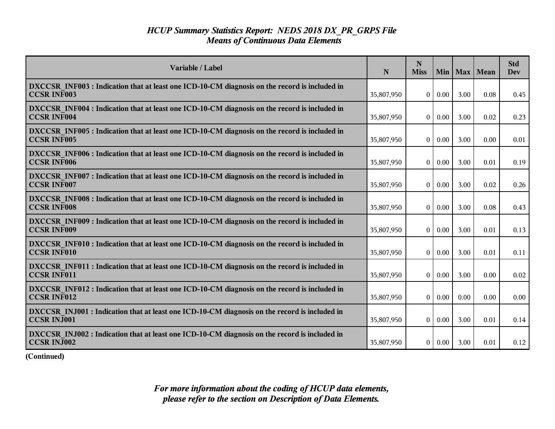| Variable / Label                                                                                                    | N          | N<br><b>Miss</b>  |               | Min   Max | Mean | <b>Std</b><br><b>Dev</b> |
|---------------------------------------------------------------------------------------------------------------------|------------|-------------------|---------------|-----------|------|--------------------------|
| DXCCSR INF003 : Indication that at least one ICD-10-CM diagnosis on the record is included in<br><b>CCSR INF003</b> | 35,807,950 | $\overline{0}$    | 0.00          | 3.00      | 0.08 | 0.45                     |
| DXCCSR INF004 : Indication that at least one ICD-10-CM diagnosis on the record is included in<br><b>CCSR INF004</b> | 35,807,950 | $\overline{0}$    | 0.00          | 3.00      | 0.02 | 0.23                     |
| DXCCSR INF005 : Indication that at least one ICD-10-CM diagnosis on the record is included in<br><b>CCSR INF005</b> | 35,807,950 | $\theta$          | 0.00          | 3.00      | 0.00 | 0.01                     |
| DXCCSR INF006 : Indication that at least one ICD-10-CM diagnosis on the record is included in<br><b>CCSR INF006</b> | 35,807,950 | 0                 | 0.00          | 3.00      | 0.01 | 0.19                     |
| DXCCSR INF007 : Indication that at least one ICD-10-CM diagnosis on the record is included in<br><b>CCSR INF007</b> | 35,807,950 |                   | $0 \mid 0.00$ | 3.00      | 0.02 | 0.26                     |
| DXCCSR INF008 : Indication that at least one ICD-10-CM diagnosis on the record is included in<br><b>CCSR INF008</b> | 35,807,950 | $\vert 0 \vert$   | 0.00          | 3.00      | 0.08 | 0.43                     |
| DXCCSR INF009 : Indication that at least one ICD-10-CM diagnosis on the record is included in<br><b>CCSR INF009</b> | 35,807,950 | $\theta$          | 0.00          | 3.00      | 0.01 | 0.13                     |
| DXCCSR INF010 : Indication that at least one ICD-10-CM diagnosis on the record is included in<br><b>CCSR INF010</b> | 35,807,950 | $\overline{0}$    | 0.00          | 3.00      | 0.01 | 0.11                     |
| DXCCSR INF011 : Indication that at least one ICD-10-CM diagnosis on the record is included in<br><b>CCSR INF011</b> | 35,807,950 | $\overline{0}$    | 0.00          | 3.00      | 0.00 | 0.02                     |
| DXCCSR INF012 : Indication that at least one ICD-10-CM diagnosis on the record is included in<br><b>CCSR INF012</b> | 35,807,950 | $\theta$          | 0.00          | 0.00      | 0.00 | 0.00                     |
| DXCCSR INJ001 : Indication that at least one ICD-10-CM diagnosis on the record is included in<br><b>CCSR INJ001</b> | 35,807,950 | $\vert$ 0 $\vert$ | $0.00\,$      | 3.00      | 0.01 | 0.14                     |
| DXCCSR INJ002 : Indication that at least one ICD-10-CM diagnosis on the record is included in<br><b>CCSR INJ002</b> | 35,807,950 |                   | 0   0.00      | 3.00      | 0.01 | 0.12                     |

**(Continued)**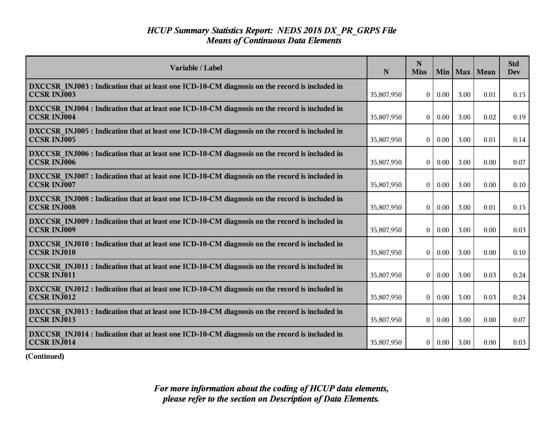| Variable / Label                                                                                                    | N          | N<br><b>Miss</b> | Min 1         | Max  | Mean | <b>Std</b><br><b>Dev</b> |
|---------------------------------------------------------------------------------------------------------------------|------------|------------------|---------------|------|------|--------------------------|
| DXCCSR INJ003 : Indication that at least one ICD-10-CM diagnosis on the record is included in<br><b>CCSR INJ003</b> | 35,807,950 | $\overline{0}$   | 0.00          | 3.00 | 0.01 | 0.15                     |
| DXCCSR INJ004 : Indication that at least one ICD-10-CM diagnosis on the record is included in<br><b>CCSR INJ004</b> | 35,807,950 | $\overline{0}$   | 0.00          | 3.00 | 0.02 | 0.19                     |
| DXCCSR INJ005 : Indication that at least one ICD-10-CM diagnosis on the record is included in<br><b>CCSR INJ005</b> | 35,807,950 | $\theta$         | 0.00          | 3.00 | 0.01 | 0.14                     |
| DXCCSR INJ006 : Indication that at least one ICD-10-CM diagnosis on the record is included in<br><b>CCSR INJ006</b> | 35,807,950 | $\vert 0 \vert$  | 0.00          | 3.00 | 0.00 | 0.07                     |
| DXCCSR INJ007 : Indication that at least one ICD-10-CM diagnosis on the record is included in<br><b>CCSR INJ007</b> | 35,807,950 | $\overline{0}$   | 0.00          | 3.00 | 0.00 | 0.10                     |
| DXCCSR INJ008 : Indication that at least one ICD-10-CM diagnosis on the record is included in<br><b>CCSR INJ008</b> | 35,807,950 | $\vert 0 \vert$  | 0.00          | 3.00 | 0.01 | 0.15                     |
| DXCCSR INJ009 : Indication that at least one ICD-10-CM diagnosis on the record is included in<br><b>CCSR INJ009</b> | 35,807,950 | $\theta$         | 0.00          | 3.00 | 0.00 | 0.03                     |
| DXCCSR INJ010 : Indication that at least one ICD-10-CM diagnosis on the record is included in<br><b>CCSR INJ010</b> | 35,807,950 | $\overline{0}$   | 0.00          | 3.00 | 0.00 | 0.10                     |
| DXCCSR INJ011 : Indication that at least one ICD-10-CM diagnosis on the record is included in<br><b>CCSR INJ011</b> | 35,807,950 | $\overline{0}$   | 0.00          | 3.00 | 0.03 | 0.24                     |
| DXCCSR INJ012 : Indication that at least one ICD-10-CM diagnosis on the record is included in<br><b>CCSR INJ012</b> | 35,807,950 | $\theta$         | 0.00          | 3.00 | 0.03 | 0.24                     |
| DXCCSR INJ013 : Indication that at least one ICD-10-CM diagnosis on the record is included in<br><b>CCSR INJ013</b> | 35,807,950 | $\overline{0}$   | $0.00\,$      | 3.00 | 0.00 | 0.07                     |
| DXCCSR INJ014 : Indication that at least one ICD-10-CM diagnosis on the record is included in<br><b>CCSR INJ014</b> | 35,807,950 |                  | $0 \mid 0.00$ | 3.00 | 0.00 | 0.03                     |

**(Continued)**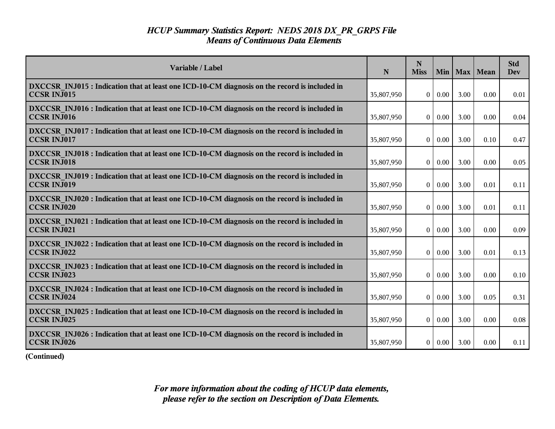| Variable / Label                                                                                                    | N          | $\mathbf N$<br><b>Miss</b> | Min      |      | Max   Mean | <b>Std</b><br><b>Dev</b> |
|---------------------------------------------------------------------------------------------------------------------|------------|----------------------------|----------|------|------------|--------------------------|
| DXCCSR INJ015 : Indication that at least one ICD-10-CM diagnosis on the record is included in<br><b>CCSR INJ015</b> | 35,807,950 | $\Omega$                   | 0.00     | 3.00 | 0.00       | 0.01                     |
| DXCCSR INJ016 : Indication that at least one ICD-10-CM diagnosis on the record is included in<br><b>CCSR INJ016</b> | 35,807,950 | $\theta$                   | 0.00     | 3.00 | 0.00       | 0.04                     |
| DXCCSR INJ017 : Indication that at least one ICD-10-CM diagnosis on the record is included in<br><b>CCSR INJ017</b> | 35,807,950 | $\mathbf{0}$               | 0.00     | 3.00 | 0.10       | 0.47                     |
| DXCCSR INJ018 : Indication that at least one ICD-10-CM diagnosis on the record is included in<br><b>CCSR INJ018</b> | 35,807,950 | $\theta$                   | 0.00     | 3.00 | 0.00       | 0.05                     |
| DXCCSR INJ019 : Indication that at least one ICD-10-CM diagnosis on the record is included in<br><b>CCSR INJ019</b> | 35,807,950 | $\vert 0 \vert$            | 0.00     | 3.00 | 0.01       | 0.11                     |
| DXCCSR INJ020 : Indication that at least one ICD-10-CM diagnosis on the record is included in<br><b>CCSR INJ020</b> | 35,807,950 | $\bf{0}$                   | 0.00     | 3.00 | 0.01       | 0.11                     |
| DXCCSR INJ021 : Indication that at least one ICD-10-CM diagnosis on the record is included in<br><b>CCSR INJ021</b> | 35,807,950 | $\mathbf{0}$               | 0.00     | 3.00 | 0.00       | 0.09                     |
| DXCCSR INJ022 : Indication that at least one ICD-10-CM diagnosis on the record is included in<br><b>CCSR INJ022</b> | 35,807,950 | $\Omega$                   | 0.00     | 3.00 | 0.01       | 0.13                     |
| DXCCSR INJ023 : Indication that at least one ICD-10-CM diagnosis on the record is included in<br><b>CCSR INJ023</b> | 35,807,950 | $\theta$                   | 0.00     | 3.00 | 0.00       | 0.10                     |
| DXCCSR INJ024 : Indication that at least one ICD-10-CM diagnosis on the record is included in<br>CCSR INJ024        | 35,807,950 | $\overline{0}$             | 0.00     | 3.00 | 0.05       | 0.31                     |
| DXCCSR INJ025 : Indication that at least one ICD-10-CM diagnosis on the record is included in<br><b>CCSR INJ025</b> | 35,807,950 | $\overline{0}$             | $0.00\,$ | 3.00 | 0.00       | 0.08                     |
| DXCCSR INJ026 : Indication that at least one ICD-10-CM diagnosis on the record is included in<br><b>CCSR INJ026</b> | 35,807,950 | 0 <sup>1</sup>             | $0.00\,$ | 3.00 | 0.00       | 0.11                     |

**(Continued)**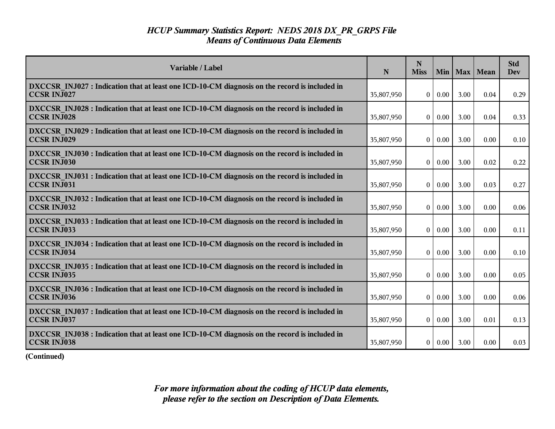| Variable / Label                                                                                                    | N          | $\mathbf N$<br><b>Miss</b> | Min      |      | Max   Mean | <b>Std</b><br><b>Dev</b> |
|---------------------------------------------------------------------------------------------------------------------|------------|----------------------------|----------|------|------------|--------------------------|
| DXCCSR INJ027 : Indication that at least one ICD-10-CM diagnosis on the record is included in<br><b>CCSR INJ027</b> | 35,807,950 | $\Omega$                   | 0.00     | 3.00 | 0.04       | 0.29                     |
| DXCCSR INJ028 : Indication that at least one ICD-10-CM diagnosis on the record is included in<br><b>CCSR INJ028</b> | 35,807,950 | $\theta$                   | 0.00     | 3.00 | 0.04       | 0.33                     |
| DXCCSR INJ029 : Indication that at least one ICD-10-CM diagnosis on the record is included in<br><b>CCSR INJ029</b> | 35,807,950 | $\mathbf{0}$               | 0.00     | 3.00 | 0.00       | 0.10                     |
| DXCCSR INJ030 : Indication that at least one ICD-10-CM diagnosis on the record is included in<br><b>CCSR INJ030</b> | 35,807,950 | $\mathbf{0}$               | 0.00     | 3.00 | 0.02       | 0.22                     |
| DXCCSR INJ031 : Indication that at least one ICD-10-CM diagnosis on the record is included in<br>CCSR INJ031        | 35,807,950 | $\vert 0 \vert$            | 0.00     | 3.00 | 0.03       | 0.27                     |
| DXCCSR INJ032 : Indication that at least one ICD-10-CM diagnosis on the record is included in<br><b>CCSR INJ032</b> | 35,807,950 | $\bf{0}$                   | 0.00     | 3.00 | 0.00       | 0.06                     |
| DXCCSR INJ033 : Indication that at least one ICD-10-CM diagnosis on the record is included in<br><b>CCSR INJ033</b> | 35,807,950 | $\mathbf{0}$               | 0.00     | 3.00 | 0.00       | 0.11                     |
| DXCCSR INJ034 : Indication that at least one ICD-10-CM diagnosis on the record is included in<br><b>CCSR INJ034</b> | 35,807,950 | $\Omega$                   | 0.00     | 3.00 | 0.00       | 0.10                     |
| DXCCSR INJ035 : Indication that at least one ICD-10-CM diagnosis on the record is included in<br><b>CCSR INJ035</b> | 35,807,950 | $\theta$                   | 0.00     | 3.00 | 0.00       | 0.05                     |
| DXCCSR INJ036 : Indication that at least one ICD-10-CM diagnosis on the record is included in<br><b>CCSR INJ036</b> | 35,807,950 | $\overline{0}$             | 0.00     | 3.00 | 0.00       | 0.06                     |
| DXCCSR INJ037 : Indication that at least one ICD-10-CM diagnosis on the record is included in<br><b>CCSR INJ037</b> | 35,807,950 | $\overline{0}$             | $0.00\,$ | 3.00 | 0.01       | 0.13                     |
| DXCCSR INJ038 : Indication that at least one ICD-10-CM diagnosis on the record is included in<br><b>CCSR INJ038</b> | 35,807,950 | 0 <sup>1</sup>             | $0.00\,$ | 3.00 | 0.00       | 0.03                     |

**(Continued)**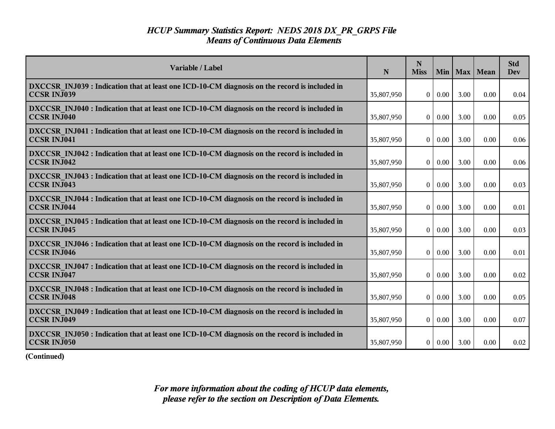| Variable / Label                                                                                                    | N          | $\mathbf N$<br><b>Miss</b> | Min      |      | Max   Mean | <b>Std</b><br><b>Dev</b> |
|---------------------------------------------------------------------------------------------------------------------|------------|----------------------------|----------|------|------------|--------------------------|
| DXCCSR INJ039 : Indication that at least one ICD-10-CM diagnosis on the record is included in<br><b>CCSR INJ039</b> | 35,807,950 | $\Omega$                   | 0.00     | 3.00 | 0.00       | 0.04                     |
| DXCCSR INJ040 : Indication that at least one ICD-10-CM diagnosis on the record is included in<br><b>CCSR INJ040</b> | 35,807,950 | $\theta$                   | 0.00     | 3.00 | 0.00       | 0.05                     |
| DXCCSR INJ041 : Indication that at least one ICD-10-CM diagnosis on the record is included in<br><b>CCSR INJ041</b> | 35,807,950 | $\mathbf{0}$               | 0.00     | 3.00 | 0.00       | 0.06                     |
| DXCCSR INJ042 : Indication that at least one ICD-10-CM diagnosis on the record is included in<br><b>CCSR INJ042</b> | 35,807,950 | $\mathbf{0}$               | 0.00     | 3.00 | 0.00       | 0.06                     |
| DXCCSR INJ043 : Indication that at least one ICD-10-CM diagnosis on the record is included in<br><b>CCSR INJ043</b> | 35,807,950 | $\vert 0 \vert$            | 0.00     | 3.00 | 0.00       | 0.03                     |
| DXCCSR INJ044 : Indication that at least one ICD-10-CM diagnosis on the record is included in<br><b>CCSR INJ044</b> | 35,807,950 | $\bf{0}$                   | 0.00     | 3.00 | 0.00       | 0.01                     |
| DXCCSR INJ045 : Indication that at least one ICD-10-CM diagnosis on the record is included in<br><b>CCSR INJ045</b> | 35,807,950 | $\mathbf{0}$               | 0.00     | 3.00 | 0.00       | 0.03                     |
| DXCCSR INJ046 : Indication that at least one ICD-10-CM diagnosis on the record is included in<br><b>CCSR INJ046</b> | 35,807,950 | $\Omega$                   | 0.00     | 3.00 | 0.00       | 0.01                     |
| DXCCSR INJ047 : Indication that at least one ICD-10-CM diagnosis on the record is included in<br><b>CCSR INJ047</b> | 35,807,950 | $\theta$                   | 0.00     | 3.00 | 0.00       | 0.02                     |
| DXCCSR INJ048 : Indication that at least one ICD-10-CM diagnosis on the record is included in<br><b>CCSR INJ048</b> | 35,807,950 | $\overline{0}$             | 0.00     | 3.00 | 0.00       | 0.05                     |
| DXCCSR INJ049 : Indication that at least one ICD-10-CM diagnosis on the record is included in<br><b>CCSR INJ049</b> | 35,807,950 | $\overline{0}$             | $0.00\,$ | 3.00 | 0.00       | 0.07                     |
| DXCCSR INJ050 : Indication that at least one ICD-10-CM diagnosis on the record is included in<br><b>CCSR INJ050</b> | 35,807,950 | 0 <sup>1</sup>             | $0.00\,$ | 3.00 | 0.00       | 0.02                     |

**(Continued)**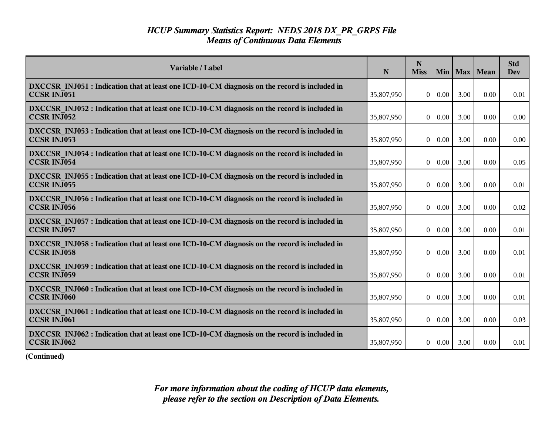| Variable / Label                                                                                                    | N          | N<br><b>Miss</b> | Min      |      | Max   Mean | <b>Std</b><br><b>Dev</b> |
|---------------------------------------------------------------------------------------------------------------------|------------|------------------|----------|------|------------|--------------------------|
| DXCCSR INJ051 : Indication that at least one ICD-10-CM diagnosis on the record is included in<br><b>CCSR INJ051</b> | 35,807,950 | $\Omega$         | 0.00     | 3.00 | 0.00       | 0.01                     |
| DXCCSR INJ052 : Indication that at least one ICD-10-CM diagnosis on the record is included in<br><b>CCSR INJ052</b> | 35,807,950 | $\theta$         | 0.00     | 3.00 | 0.00       | 0.00                     |
| DXCCSR INJ053 : Indication that at least one ICD-10-CM diagnosis on the record is included in<br><b>CCSR INJ053</b> | 35,807,950 | $\theta$         | 0.00     | 3.00 | 0.00       | 0.00                     |
| DXCCSR INJ054 : Indication that at least one ICD-10-CM diagnosis on the record is included in<br><b>CCSR INJ054</b> | 35,807,950 | $\mathbf{0}$     | 0.00     | 3.00 | 0.00       | 0.05                     |
| DXCCSR INJ055 : Indication that at least one ICD-10-CM diagnosis on the record is included in<br><b>CCSR INJ055</b> | 35,807,950 | $\overline{0}$   | 0.00     | 3.00 | 0.00       | 0.01                     |
| DXCCSR INJ056 : Indication that at least one ICD-10-CM diagnosis on the record is included in<br><b>CCSR INJ056</b> | 35,807,950 | $\mathbf{0}$     | 0.00     | 3.00 | 0.00       | 0.02                     |
| DXCCSR INJ057 : Indication that at least one ICD-10-CM diagnosis on the record is included in<br><b>CCSR INJ057</b> | 35,807,950 | $\theta$         | 0.00     | 3.00 | 0.00       | 0.01                     |
| DXCCSR INJ058 : Indication that at least one ICD-10-CM diagnosis on the record is included in<br><b>CCSR INJ058</b> | 35,807,950 | $\theta$         | 0.00     | 3.00 | 0.00       | 0.01                     |
| DXCCSR INJ059 : Indication that at least one ICD-10-CM diagnosis on the record is included in<br><b>CCSR INJ059</b> | 35,807,950 | $\overline{0}$   | 0.00     | 3.00 | 0.00       | 0.01                     |
| DXCCSR INJ060 : Indication that at least one ICD-10-CM diagnosis on the record is included in<br><b>CCSR INJ060</b> | 35,807,950 | $\mathbf{0}$     | 0.00     | 3.00 | 0.00       | 0.01                     |
| DXCCSR INJ061 : Indication that at least one ICD-10-CM diagnosis on the record is included in<br><b>CCSR INJ061</b> | 35,807,950 | $\Omega$         | 0.00     | 3.00 | 0.00       | 0.03                     |
| DXCCSR INJ062 : Indication that at least one ICD-10-CM diagnosis on the record is included in<br><b>CCSR INJ062</b> | 35,807,950 | 0                | $0.00\,$ | 3.00 | 0.00       | 0.01                     |

**(Continued)**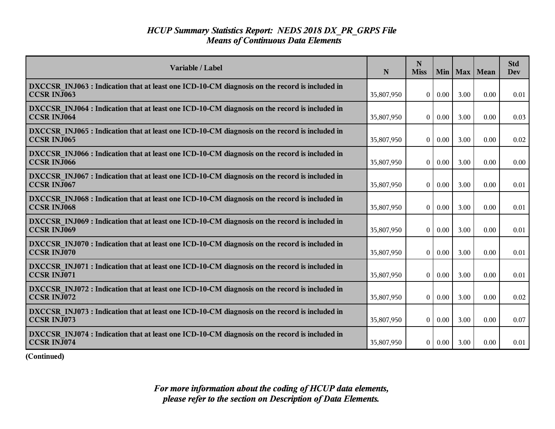| Variable / Label                                                                                                    | N          | N<br><b>Miss</b> | Min 1    | Max  | Mean | <b>Std</b><br><b>Dev</b> |
|---------------------------------------------------------------------------------------------------------------------|------------|------------------|----------|------|------|--------------------------|
| DXCCSR INJ063 : Indication that at least one ICD-10-CM diagnosis on the record is included in<br><b>CCSR INJ063</b> | 35,807,950 | $\overline{0}$   | 0.00     | 3.00 | 0.00 | 0.01                     |
| DXCCSR INJ064 : Indication that at least one ICD-10-CM diagnosis on the record is included in<br><b>CCSR INJ064</b> | 35,807,950 | $\overline{0}$   | 0.00     | 3.00 | 0.00 | 0.03                     |
| DXCCSR INJ065 : Indication that at least one ICD-10-CM diagnosis on the record is included in<br><b>CCSR INJ065</b> | 35,807,950 | $\theta$         | 0.00     | 3.00 | 0.00 | 0.02                     |
| DXCCSR INJ066 : Indication that at least one ICD-10-CM diagnosis on the record is included in<br><b>CCSR INJ066</b> | 35,807,950 | $\vert 0 \vert$  | 0.00     | 3.00 | 0.00 | 0.00                     |
| DXCCSR INJ067 : Indication that at least one ICD-10-CM diagnosis on the record is included in<br><b>CCSR INJ067</b> | 35,807,950 | $\overline{0}$   | 0.00     | 3.00 | 0.00 | 0.01                     |
| DXCCSR INJ068 : Indication that at least one ICD-10-CM diagnosis on the record is included in<br><b>CCSR INJ068</b> | 35,807,950 | $\bf{0}$         | 0.00     | 3.00 | 0.00 | 0.01                     |
| DXCCSR INJ069 : Indication that at least one ICD-10-CM diagnosis on the record is included in<br><b>CCSR INJ069</b> | 35,807,950 | $\theta$         | 0.00     | 3.00 | 0.00 | 0.01                     |
| DXCCSR INJ070 : Indication that at least one ICD-10-CM diagnosis on the record is included in<br><b>CCSR INJ070</b> | 35,807,950 | $\overline{0}$   | 0.00     | 3.00 | 0.00 | 0.01                     |
| DXCCSR INJ071 : Indication that at least one ICD-10-CM diagnosis on the record is included in<br><b>CCSR INJ071</b> | 35,807,950 | $\overline{0}$   | 0.00     | 3.00 | 0.00 | 0.01                     |
| DXCCSR INJ072 : Indication that at least one ICD-10-CM diagnosis on the record is included in<br>CCSR INJ072        | 35,807,950 | $\theta$         | 0.00     | 3.00 | 0.00 | 0.02                     |
| DXCCSR INJ073 : Indication that at least one ICD-10-CM diagnosis on the record is included in<br><b>CCSR INJ073</b> | 35,807,950 | $\overline{0}$   | $0.00\,$ | 3.00 | 0.00 | 0.07                     |
| DXCCSR INJ074 : Indication that at least one ICD-10-CM diagnosis on the record is included in<br><b>CCSR INJ074</b> | 35,807,950 | 0 <sup>1</sup>   | $0.00\,$ | 3.00 | 0.00 | 0.01                     |

**(Continued)**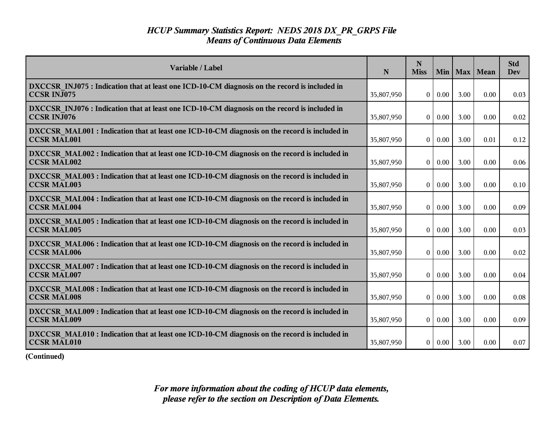| Variable / Label                                                                                                    | N          | N<br><b>Miss</b> | Min           | Max  | Mean | <b>Std</b><br><b>Dev</b> |
|---------------------------------------------------------------------------------------------------------------------|------------|------------------|---------------|------|------|--------------------------|
| DXCCSR INJ075 : Indication that at least one ICD-10-CM diagnosis on the record is included in<br><b>CCSR INJ075</b> | 35,807,950 | $\overline{0}$   | 0.00          | 3.00 | 0.00 | 0.03                     |
| DXCCSR INJ076 : Indication that at least one ICD-10-CM diagnosis on the record is included in<br><b>CCSR INJ076</b> | 35,807,950 | $\overline{0}$   | 0.00          | 3.00 | 0.00 | 0.02                     |
| DXCCSR MAL001 : Indication that at least one ICD-10-CM diagnosis on the record is included in<br><b>CCSR MAL001</b> | 35,807,950 | $\overline{0}$   | 0.00          | 3.00 | 0.01 | 0.12                     |
| DXCCSR MAL002: Indication that at least one ICD-10-CM diagnosis on the record is included in<br><b>CCSR MAL002</b>  | 35,807,950 | $\vert 0 \vert$  | 0.00          | 3.00 | 0.00 | 0.06                     |
| DXCCSR MAL003 : Indication that at least one ICD-10-CM diagnosis on the record is included in<br><b>CCSR MAL003</b> | 35,807,950 | $\overline{0}$   | 0.00          | 3.00 | 0.00 | 0.10                     |
| DXCCSR MAL004 : Indication that at least one ICD-10-CM diagnosis on the record is included in<br><b>CCSR MAL004</b> | 35,807,950 | $\mathbf{0}$     | 0.00          | 3.00 | 0.00 | 0.09                     |
| DXCCSR MAL005 : Indication that at least one ICD-10-CM diagnosis on the record is included in<br><b>CCSR MAL005</b> | 35,807,950 | $\overline{0}$   | 0.00          | 3.00 | 0.00 | 0.03                     |
| DXCCSR MAL006 : Indication that at least one ICD-10-CM diagnosis on the record is included in<br><b>CCSR MAL006</b> | 35,807,950 | $\overline{0}$   | 0.00          | 3.00 | 0.00 | 0.02                     |
| DXCCSR MAL007: Indication that at least one ICD-10-CM diagnosis on the record is included in<br><b>CCSR MAL007</b>  | 35,807,950 | $\vert 0 \vert$  | 0.00          | 3.00 | 0.00 | 0.04                     |
| DXCCSR MAL008 : Indication that at least one ICD-10-CM diagnosis on the record is included in<br><b>CCSR MAL008</b> | 35,807,950 | $\theta$         | 0.00          | 3.00 | 0.00 | 0.08                     |
| DXCCSR MAL009: Indication that at least one ICD-10-CM diagnosis on the record is included in<br><b>CCSR MAL009</b>  | 35,807,950 | $\overline{0}$   | $0.00\,$      | 3.00 | 0.00 | 0.09                     |
| DXCCSR MAL010 : Indication that at least one ICD-10-CM diagnosis on the record is included in<br><b>CCSR MAL010</b> | 35,807,950 |                  | $0 \mid 0.00$ | 3.00 | 0.00 | 0.07                     |

**(Continued)**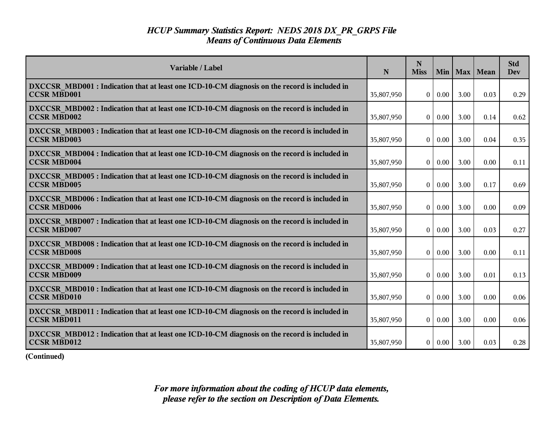| Variable / Label                                                                                                    | N          | N<br><b>Miss</b> | <b>Min</b> | <b>Max</b> | Mean | <b>Std</b><br><b>Dev</b> |
|---------------------------------------------------------------------------------------------------------------------|------------|------------------|------------|------------|------|--------------------------|
| DXCCSR MBD001 : Indication that at least one ICD-10-CM diagnosis on the record is included in<br><b>CCSR MBD001</b> | 35,807,950 | $\overline{0}$   | 0.00       | 3.00       | 0.03 | 0.29                     |
| DXCCSR MBD002 : Indication that at least one ICD-10-CM diagnosis on the record is included in<br><b>CCSR MBD002</b> | 35,807,950 | $\theta$         | 0.00       | 3.00       | 0.14 | 0.62                     |
| DXCCSR MBD003 : Indication that at least one ICD-10-CM diagnosis on the record is included in<br><b>CCSR MBD003</b> | 35,807,950 | $\theta$         | 0.00       | 3.00       | 0.04 | 0.35                     |
| DXCCSR MBD004 : Indication that at least one ICD-10-CM diagnosis on the record is included in<br><b>CCSR MBD004</b> | 35,807,950 | $\theta$         | 0.00       | 3.00       | 0.00 | 0.11                     |
| DXCCSR MBD005 : Indication that at least one ICD-10-CM diagnosis on the record is included in<br><b>CCSR MBD005</b> | 35,807,950 | $\overline{0}$   | 0.00       | 3.00       | 0.17 | 0.69                     |
| DXCCSR MBD006 : Indication that at least one ICD-10-CM diagnosis on the record is included in<br><b>CCSR MBD006</b> | 35,807,950 | $\theta$         | 0.00       | 3.00       | 0.00 | 0.09                     |
| DXCCSR MBD007 : Indication that at least one ICD-10-CM diagnosis on the record is included in<br><b>CCSR MBD007</b> | 35,807,950 | $\theta$         | 0.00       | 3.00       | 0.03 | 0.27                     |
| DXCCSR MBD008 : Indication that at least one ICD-10-CM diagnosis on the record is included in<br><b>CCSR MBD008</b> | 35,807,950 | $\overline{0}$   | 0.00       | 3.00       | 0.00 | 0.11                     |
| DXCCSR MBD009 : Indication that at least one ICD-10-CM diagnosis on the record is included in<br><b>CCSR MBD009</b> | 35,807,950 | $\theta$         | 0.00       | 3.00       | 0.01 | 0.13                     |
| DXCCSR MBD010 : Indication that at least one ICD-10-CM diagnosis on the record is included in<br><b>CCSR MBD010</b> | 35,807,950 | $\theta$         | 0.00       | 3.00       | 0.00 | 0.06                     |
| DXCCSR MBD011 : Indication that at least one ICD-10-CM diagnosis on the record is included in<br><b>CCSR MBD011</b> | 35,807,950 | $\theta$         | 0.00       | 3.00       | 0.00 | 0.06                     |
| DXCCSR MBD012 : Indication that at least one ICD-10-CM diagnosis on the record is included in<br><b>CCSR MBD012</b> | 35,807,950 | $\overline{0}$   | 0.00       | 3.00       | 0.03 | 0.28                     |

**(Continued)**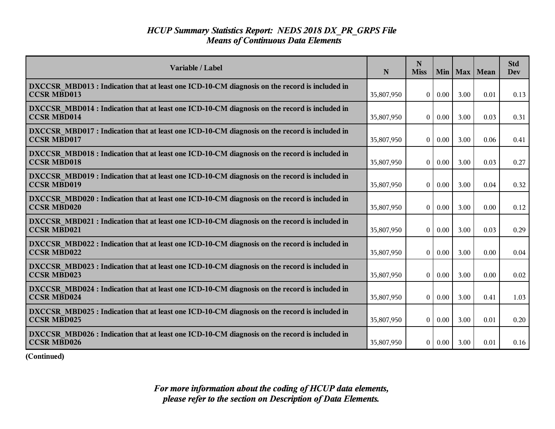| Variable / Label                                                                                                    | N          | N<br><b>Miss</b> | Min  |      | Max   Mean | <b>Std</b><br><b>Dev</b> |
|---------------------------------------------------------------------------------------------------------------------|------------|------------------|------|------|------------|--------------------------|
| DXCCSR MBD013 : Indication that at least one ICD-10-CM diagnosis on the record is included in<br><b>CCSR MBD013</b> | 35,807,950 | $\overline{0}$   | 0.00 | 3.00 | 0.01       | 0.13                     |
| DXCCSR MBD014 : Indication that at least one ICD-10-CM diagnosis on the record is included in<br><b>CCSR MBD014</b> | 35,807,950 | $\theta$         | 0.00 | 3.00 | 0.03       | 0.31                     |
| DXCCSR MBD017 : Indication that at least one ICD-10-CM diagnosis on the record is included in<br><b>CCSR MBD017</b> | 35,807,950 | $\boldsymbol{0}$ | 0.00 | 3.00 | 0.06       | 0.41                     |
| DXCCSR MBD018 : Indication that at least one ICD-10-CM diagnosis on the record is included in<br><b>CCSR MBD018</b> | 35,807,950 | $\boldsymbol{0}$ | 0.00 | 3.00 | 0.03       | 0.27                     |
| DXCCSR MBD019: Indication that at least one ICD-10-CM diagnosis on the record is included in<br><b>CCSR MBD019</b>  | 35,807,950 | $\overline{0}$   | 0.00 | 3.00 | 0.04       | 0.32                     |
| DXCCSR MBD020 : Indication that at least one ICD-10-CM diagnosis on the record is included in<br><b>CCSR MBD020</b> | 35,807,950 | $\theta$         | 0.00 | 3.00 | 0.00       | 0.12                     |
| DXCCSR MBD021 : Indication that at least one ICD-10-CM diagnosis on the record is included in<br><b>CCSR MBD021</b> | 35,807,950 | $\theta$         | 0.00 | 3.00 | 0.03       | 0.29                     |
| DXCCSR MBD022 : Indication that at least one ICD-10-CM diagnosis on the record is included in<br><b>CCSR MBD022</b> | 35,807,950 | $\overline{0}$   | 0.00 | 3.00 | 0.00       | 0.04                     |
| DXCCSR MBD023 : Indication that at least one ICD-10-CM diagnosis on the record is included in<br><b>CCSR MBD023</b> | 35,807,950 | $\theta$         | 0.00 | 3.00 | 0.00       | 0.02                     |
| DXCCSR MBD024 : Indication that at least one ICD-10-CM diagnosis on the record is included in<br><b>CCSR MBD024</b> | 35,807,950 | $\theta$         | 0.00 | 3.00 | 0.41       | 1.03                     |
| DXCCSR MBD025 : Indication that at least one ICD-10-CM diagnosis on the record is included in<br><b>CCSR MBD025</b> | 35,807,950 | $\mathbf{0}$     | 0.00 | 3.00 | 0.01       | 0.20                     |
| DXCCSR MBD026 : Indication that at least one ICD-10-CM diagnosis on the record is included in<br><b>CCSR MBD026</b> | 35,807,950 | $\overline{0}$   | 0.00 | 3.00 | 0.01       | 0.16                     |

**(Continued)**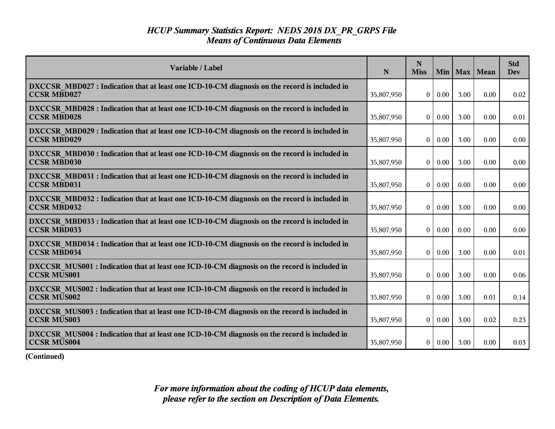| Variable / Label                                                                                                    | N          | N<br><b>Miss</b> | <b>Min</b> |      | Max   Mean | <b>Std</b><br><b>Dev</b> |
|---------------------------------------------------------------------------------------------------------------------|------------|------------------|------------|------|------------|--------------------------|
| DXCCSR MBD027 : Indication that at least one ICD-10-CM diagnosis on the record is included in<br><b>CCSR MBD027</b> | 35,807,950 | $\Omega$         | 0.00       | 3.00 | 0.00       | 0.02                     |
| DXCCSR MBD028 : Indication that at least one ICD-10-CM diagnosis on the record is included in<br><b>CCSR MBD028</b> | 35,807,950 | $\theta$         | 0.00       | 3.00 | 0.00       | 0.01                     |
| DXCCSR MBD029 : Indication that at least one ICD-10-CM diagnosis on the record is included in<br><b>CCSR MBD029</b> | 35,807,950 | $\theta$         | 0.00       | 3.00 | 0.00       | 0.00                     |
| DXCCSR MBD030: Indication that at least one ICD-10-CM diagnosis on the record is included in<br><b>CCSR MBD030</b>  | 35,807,950 | $\theta$         | 0.00       | 3.00 | 0.00       | 0.00                     |
| DXCCSR MBD031 : Indication that at least one ICD-10-CM diagnosis on the record is included in<br><b>CCSR MBD031</b> | 35,807,950 | $\theta$         | 0.00       | 0.00 | 0.00       | 0.00                     |
| DXCCSR MBD032 : Indication that at least one ICD-10-CM diagnosis on the record is included in<br><b>CCSR MBD032</b> | 35,807,950 | $\boldsymbol{0}$ | 0.00       | 3.00 | 0.00       | 0.00                     |
| DXCCSR MBD033 : Indication that at least one ICD-10-CM diagnosis on the record is included in<br><b>CCSR MBD033</b> | 35,807,950 | $\theta$         | 0.00       | 0.00 | 0.00       | 0.00                     |
| DXCCSR MBD034 : Indication that at least one ICD-10-CM diagnosis on the record is included in<br><b>CCSR MBD034</b> | 35,807,950 | $\theta$         | 0.00       | 3.00 | 0.00       | 0.01                     |
| DXCCSR MUS001 : Indication that at least one ICD-10-CM diagnosis on the record is included in<br><b>CCSR MUS001</b> | 35,807,950 | $\theta$         | 0.00       | 3.00 | 0.00       | 0.06                     |
| DXCCSR MUS002 : Indication that at least one ICD-10-CM diagnosis on the record is included in<br><b>CCSR MUS002</b> | 35,807,950 | $\theta$         | 0.00       | 3.00 | 0.01       | 0.14                     |
| DXCCSR MUS003 : Indication that at least one ICD-10-CM diagnosis on the record is included in<br><b>CCSR MUS003</b> | 35,807,950 | $\theta$         | 0.00       | 3.00 | 0.02       | 0.23                     |
| DXCCSR MUS004 : Indication that at least one ICD-10-CM diagnosis on the record is included in<br><b>CCSR MUS004</b> | 35,807,950 | $\overline{0}$   | 0.00       | 3.00 | 0.00       | 0.03                     |

**(Continued)**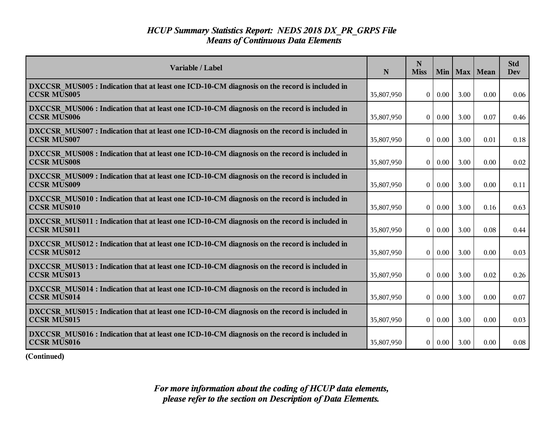| Variable / Label                                                                                                    | N          | N<br><b>Miss</b> | <b>Min</b> |      | Max   Mean | <b>Std</b><br><b>Dev</b> |
|---------------------------------------------------------------------------------------------------------------------|------------|------------------|------------|------|------------|--------------------------|
| DXCCSR MUS005 : Indication that at least one ICD-10-CM diagnosis on the record is included in<br><b>CCSR MUS005</b> | 35,807,950 | $\theta$         | 0.00       | 3.00 | 0.00       | 0.06                     |
| DXCCSR MUS006 : Indication that at least one ICD-10-CM diagnosis on the record is included in<br><b>CCSR MUS006</b> | 35,807,950 | $\theta$         | 0.00       | 3.00 | 0.07       | 0.46                     |
| DXCCSR MUS007 : Indication that at least one ICD-10-CM diagnosis on the record is included in<br><b>CCSR MUS007</b> | 35,807,950 | $\boldsymbol{0}$ | 0.00       | 3.00 | 0.01       | 0.18                     |
| DXCCSR MUS008 : Indication that at least one ICD-10-CM diagnosis on the record is included in<br><b>CCSR MUS008</b> | 35,807,950 | $\theta$         | 0.00       | 3.00 | 0.00       | 0.02                     |
| DXCCSR MUS009 : Indication that at least one ICD-10-CM diagnosis on the record is included in<br><b>CCSR MUS009</b> | 35,807,950 | $\overline{0}$   | 0.00       | 3.00 | 0.00       | 0.11                     |
| DXCCSR MUS010 : Indication that at least one ICD-10-CM diagnosis on the record is included in<br><b>CCSR MUS010</b> | 35,807,950 | $\theta$         | 0.00       | 3.00 | 0.16       | 0.63                     |
| DXCCSR MUS011 : Indication that at least one ICD-10-CM diagnosis on the record is included in<br><b>CCSR MUS011</b> | 35,807,950 | $\theta$         | 0.00       | 3.00 | 0.08       | 0.44                     |
| DXCCSR MUS012 : Indication that at least one ICD-10-CM diagnosis on the record is included in<br><b>CCSR MUS012</b> | 35,807,950 | $\theta$         | 0.00       | 3.00 | 0.00       | 0.03                     |
| DXCCSR MUS013 : Indication that at least one ICD-10-CM diagnosis on the record is included in<br><b>CCSR MUS013</b> | 35,807,950 | $\theta$         | 0.00       | 3.00 | 0.02       | 0.26                     |
| DXCCSR MUS014 : Indication that at least one ICD-10-CM diagnosis on the record is included in<br><b>CCSR MUS014</b> | 35,807,950 | $\theta$         | 0.00       | 3.00 | 0.00       | 0.07                     |
| DXCCSR_MUS015 : Indication that at least one ICD-10-CM diagnosis on the record is included in<br><b>CCSR MUS015</b> | 35,807,950 | $\mathbf{0}$     | 0.00       | 3.00 | 0.00       | 0.03                     |
| DXCCSR MUS016 : Indication that at least one ICD-10-CM diagnosis on the record is included in<br><b>CCSR MUS016</b> | 35,807,950 | $\overline{0}$   | 0.00       | 3.00 | 0.00       | 0.08                     |

**(Continued)**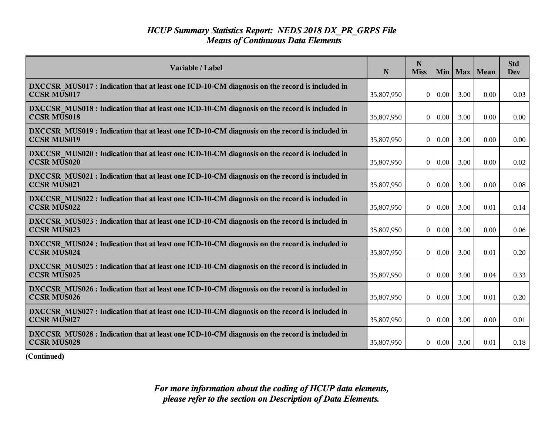| Variable / Label                                                                                                    | N          | N<br><b>Miss</b>  | Min      | Max  | Mean | <b>Std</b><br>Dev |
|---------------------------------------------------------------------------------------------------------------------|------------|-------------------|----------|------|------|-------------------|
| DXCCSR MUS017 : Indication that at least one ICD-10-CM diagnosis on the record is included in<br><b>CCSR MUS017</b> | 35,807,950 | $\overline{0}$    | 0.00     | 3.00 | 0.00 | 0.03              |
| DXCCSR MUS018 : Indication that at least one ICD-10-CM diagnosis on the record is included in<br><b>CCSR MUS018</b> | 35,807,950 | $\overline{0}$    | 0.00     | 3.00 | 0.00 | 0.00              |
| DXCCSR MUS019 : Indication that at least one ICD-10-CM diagnosis on the record is included in<br><b>CCSR MUS019</b> | 35,807,950 | $\theta$          | 0.00     | 3.00 | 0.00 | 0.00              |
| DXCCSR MUS020 : Indication that at least one ICD-10-CM diagnosis on the record is included in<br><b>CCSR MUS020</b> | 35,807,950 | 0                 | 0.00     | 3.00 | 0.00 | 0.02              |
| DXCCSR MUS021 : Indication that at least one ICD-10-CM diagnosis on the record is included in<br><b>CCSR MUS021</b> | 35,807,950 | 0 <sup>1</sup>    | 0.00     | 3.00 | 0.00 | 0.08              |
| DXCCSR MUS022 : Indication that at least one ICD-10-CM diagnosis on the record is included in<br><b>CCSR MUS022</b> | 35,807,950 | $\bf{0}$          | 0.00     | 3.00 | 0.01 | 0.14              |
| DXCCSR MUS023 : Indication that at least one ICD-10-CM diagnosis on the record is included in<br><b>CCSR MUS023</b> | 35,807,950 | $\theta$          | 0.00     | 3.00 | 0.00 | 0.06              |
| DXCCSR MUS024 : Indication that at least one ICD-10-CM diagnosis on the record is included in<br><b>CCSR MUS024</b> | 35,807,950 | 0 <sup>1</sup>    | 0.00     | 3.00 | 0.01 | 0.20              |
| DXCCSR MUS025 : Indication that at least one ICD-10-CM diagnosis on the record is included in<br><b>CCSR MUS025</b> | 35,807,950 | $\overline{0}$    | 0.00     | 3.00 | 0.04 | 0.33              |
| DXCCSR MUS026 : Indication that at least one ICD-10-CM diagnosis on the record is included in<br><b>CCSR MUS026</b> | 35,807,950 | $\bf{0}$          | 0.00     | 3.00 | 0.01 | 0.20              |
| DXCCSR MUS027 : Indication that at least one ICD-10-CM diagnosis on the record is included in<br><b>CCSR MUS027</b> | 35,807,950 | $\vert$ 0 $\vert$ | $0.00\,$ | 3.00 | 0.00 | 0.01              |
| DXCCSR MUS028 : Indication that at least one ICD-10-CM diagnosis on the record is included in<br><b>CCSR MUS028</b> | 35,807,950 |                   | 0   0.00 | 3.00 | 0.01 | 0.18              |

**(Continued)**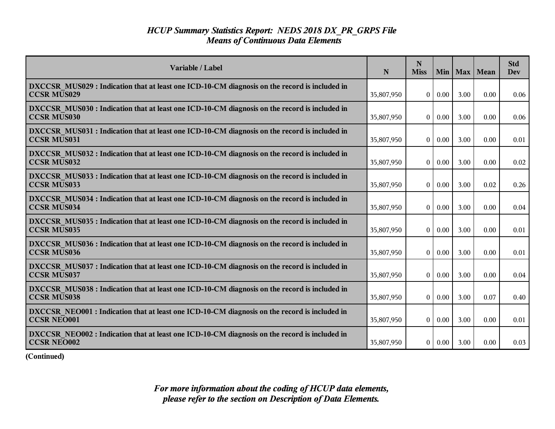| Variable / Label                                                                                                    | N          | N<br><b>Miss</b> | Min  |      | Max   Mean | <b>Std</b><br>Dev |
|---------------------------------------------------------------------------------------------------------------------|------------|------------------|------|------|------------|-------------------|
| DXCCSR MUS029 : Indication that at least one ICD-10-CM diagnosis on the record is included in<br><b>CCSR MUS029</b> | 35,807,950 | $\overline{0}$   | 0.00 | 3.00 | 0.00       | 0.06              |
| DXCCSR MUS030 : Indication that at least one ICD-10-CM diagnosis on the record is included in<br><b>CCSR MUS030</b> | 35,807,950 | $\theta$         | 0.00 | 3.00 | 0.00       | 0.06              |
| DXCCSR MUS031 : Indication that at least one ICD-10-CM diagnosis on the record is included in<br><b>CCSR MUS031</b> | 35,807,950 | $\theta$         | 0.00 | 3.00 | 0.00       | 0.01              |
| DXCCSR MUS032 : Indication that at least one ICD-10-CM diagnosis on the record is included in<br><b>CCSR MUS032</b> | 35,807,950 | $\mathbf{0}$     | 0.00 | 3.00 | 0.00       | 0.02              |
| DXCCSR_MUS033 : Indication that at least one ICD-10-CM diagnosis on the record is included in<br><b>CCSR MUS033</b> | 35,807,950 | $\theta$         | 0.00 | 3.00 | 0.02       | 0.26              |
| DXCCSR MUS034 : Indication that at least one ICD-10-CM diagnosis on the record is included in<br><b>CCSR MUS034</b> | 35,807,950 | $\theta$         | 0.00 | 3.00 | 0.00       | 0.04              |
| DXCCSR MUS035 : Indication that at least one ICD-10-CM diagnosis on the record is included in<br><b>CCSR MUS035</b> | 35,807,950 | $\theta$         | 0.00 | 3.00 | 0.00       | 0.01              |
| DXCCSR MUS036 : Indication that at least one ICD-10-CM diagnosis on the record is included in<br><b>CCSR MUS036</b> | 35,807,950 | $\overline{0}$   | 0.00 | 3.00 | 0.00       | 0.01              |
| DXCCSR MUS037 : Indication that at least one ICD-10-CM diagnosis on the record is included in<br><b>CCSR MUS037</b> | 35,807,950 | $\theta$         | 0.00 | 3.00 | 0.00       | 0.04              |
| DXCCSR MUS038 : Indication that at least one ICD-10-CM diagnosis on the record is included in<br><b>CCSR MUS038</b> | 35,807,950 | $\theta$         | 0.00 | 3.00 | 0.07       | 0.40              |
| DXCCSR NEO001 : Indication that at least one ICD-10-CM diagnosis on the record is included in<br><b>CCSR NEO001</b> | 35,807,950 | $\overline{0}$   | 0.00 | 3.00 | 0.00       | 0.01              |
| DXCCSR NEO002 : Indication that at least one ICD-10-CM diagnosis on the record is included in<br><b>CCSR NEO002</b> | 35,807,950 | $\overline{0}$   | 0.00 | 3.00 | 0.00       | 0.03              |

**(Continued)**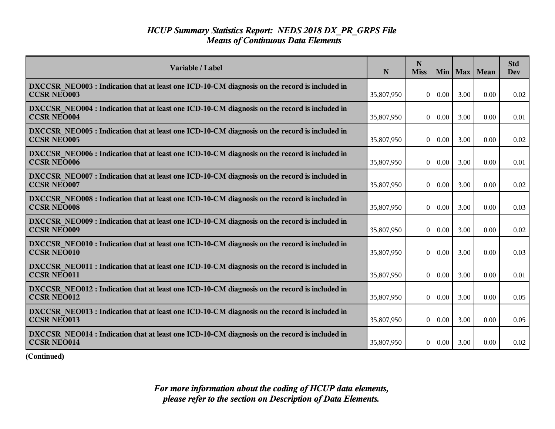| Variable / Label                                                                                                    | N          | N<br><b>Miss</b> | Min      | Max  | Mean | <b>Std</b><br>Dev |
|---------------------------------------------------------------------------------------------------------------------|------------|------------------|----------|------|------|-------------------|
| DXCCSR NEO003 : Indication that at least one ICD-10-CM diagnosis on the record is included in<br><b>CCSR NEO003</b> | 35,807,950 | $\overline{0}$   | 0.00     | 3.00 | 0.00 | 0.02              |
| DXCCSR NEO004 : Indication that at least one ICD-10-CM diagnosis on the record is included in<br><b>CCSR NEO004</b> | 35,807,950 | $\overline{0}$   | 0.00     | 3.00 | 0.00 | 0.01              |
| DXCCSR NEO005 : Indication that at least one ICD-10-CM diagnosis on the record is included in<br><b>CCSR NEO005</b> | 35,807,950 | $\theta$         | 0.00     | 3.00 | 0.00 | 0.02              |
| DXCCSR NEO006 : Indication that at least one ICD-10-CM diagnosis on the record is included in<br><b>CCSR NEO006</b> | 35,807,950 | $\overline{0}$   | 0.00     | 3.00 | 0.00 | 0.01              |
| DXCCSR NEO007 : Indication that at least one ICD-10-CM diagnosis on the record is included in<br><b>CCSR NEO007</b> | 35,807,950 | 0 <sup>1</sup>   | 0.00     | 3.00 | 0.00 | 0.02              |
| DXCCSR NEO008 : Indication that at least one ICD-10-CM diagnosis on the record is included in<br><b>CCSR NEO008</b> | 35,807,950 | $\bf{0}$         | 0.00     | 3.00 | 0.00 | 0.03              |
| DXCCSR NEO009 : Indication that at least one ICD-10-CM diagnosis on the record is included in<br><b>CCSR NEO009</b> | 35,807,950 | $\theta$         | 0.00     | 3.00 | 0.00 | 0.02              |
| DXCCSR NEO010 : Indication that at least one ICD-10-CM diagnosis on the record is included in<br><b>CCSR NEO010</b> | 35,807,950 | $\overline{0}$   | 0.00     | 3.00 | 0.00 | 0.03              |
| DXCCSR NEO011 : Indication that at least one ICD-10-CM diagnosis on the record is included in<br><b>CCSR NEO011</b> | 35,807,950 | $\overline{0}$   | 0.00     | 3.00 | 0.00 | 0.01              |
| DXCCSR NEO012 : Indication that at least one ICD-10-CM diagnosis on the record is included in<br><b>CCSR NEO012</b> | 35,807,950 | $\theta$         | 0.00     | 3.00 | 0.00 | 0.05              |
| DXCCSR NEO013 : Indication that at least one ICD-10-CM diagnosis on the record is included in<br><b>CCSR NEO013</b> | 35,807,950 | $\vert 0 \vert$  | $0.00\,$ | 3.00 | 0.00 | 0.05              |
| DXCCSR NEO014 : Indication that at least one ICD-10-CM diagnosis on the record is included in<br><b>CCSR NEO014</b> | 35,807,950 | 0 <sup>1</sup>   | $0.00\,$ | 3.00 | 0.00 | 0.02              |

**(Continued)**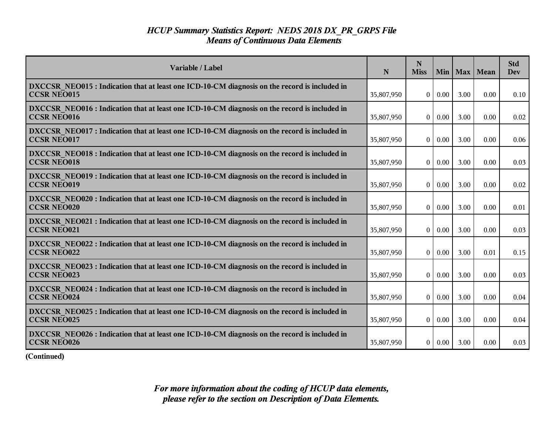| Variable / Label                                                                                                    | N          | N<br><b>Miss</b> | Min  | Max  | Mean | <b>Std</b><br><b>Dev</b> |
|---------------------------------------------------------------------------------------------------------------------|------------|------------------|------|------|------|--------------------------|
| DXCCSR NEO015 : Indication that at least one ICD-10-CM diagnosis on the record is included in<br><b>CCSR NEO015</b> | 35,807,950 | $\mathbf{0}$     | 0.00 | 3.00 | 0.00 | 0.10                     |
| DXCCSR NEO016 : Indication that at least one ICD-10-CM diagnosis on the record is included in<br><b>CCSR NEO016</b> | 35,807,950 | $\mathbf{0}$     | 0.00 | 3.00 | 0.00 | 0.02                     |
| DXCCSR NEO017: Indication that at least one ICD-10-CM diagnosis on the record is included in<br><b>CCSR NEO017</b>  | 35,807,950 | $\mathbf{0}$     | 0.00 | 3.00 | 0.00 | 0.06                     |
| DXCCSR NEO018 : Indication that at least one ICD-10-CM diagnosis on the record is included in<br><b>CCSR NEO018</b> | 35,807,950 | $\mathbf{0}$     | 0.00 | 3.00 | 0.00 | 0.03                     |
| DXCCSR NEO019 : Indication that at least one ICD-10-CM diagnosis on the record is included in<br><b>CCSR NEO019</b> | 35,807,950 | $\overline{0}$   | 0.00 | 3.00 | 0.00 | 0.02                     |
| DXCCSR NEO020 : Indication that at least one ICD-10-CM diagnosis on the record is included in<br><b>CCSR NEO020</b> | 35,807,950 | $\bf{0}$         | 0.00 | 3.00 | 0.00 | 0.01                     |
| DXCCSR NEO021 : Indication that at least one ICD-10-CM diagnosis on the record is included in<br><b>CCSR NEO021</b> | 35,807,950 | $\theta$         | 0.00 | 3.00 | 0.00 | 0.03                     |
| DXCCSR NEO022 : Indication that at least one ICD-10-CM diagnosis on the record is included in<br><b>CCSR NEO022</b> | 35,807,950 | $\mathbf{0}$     | 0.00 | 3.00 | 0.01 | 0.15                     |
| DXCCSR NEO023 : Indication that at least one ICD-10-CM diagnosis on the record is included in<br><b>CCSR NEO023</b> | 35,807,950 | $\mathbf{0}$     | 0.00 | 3.00 | 0.00 | 0.03                     |
| DXCCSR NEO024 : Indication that at least one ICD-10-CM diagnosis on the record is included in<br><b>CCSR NEO024</b> | 35,807,950 | $\mathbf{0}$     | 0.00 | 3.00 | 0.00 | 0.04                     |
| DXCCSR NEO025 : Indication that at least one ICD-10-CM diagnosis on the record is included in<br><b>CCSR NEO025</b> | 35,807,950 | $\theta$         | 0.00 | 3.00 | 0.00 | 0.04                     |
| DXCCSR_NEO026 : Indication that at least one ICD-10-CM diagnosis on the record is included in<br><b>CCSR NEO026</b> | 35,807,950 | 0                | 0.00 | 3.00 | 0.00 | 0.03                     |

**(Continued)**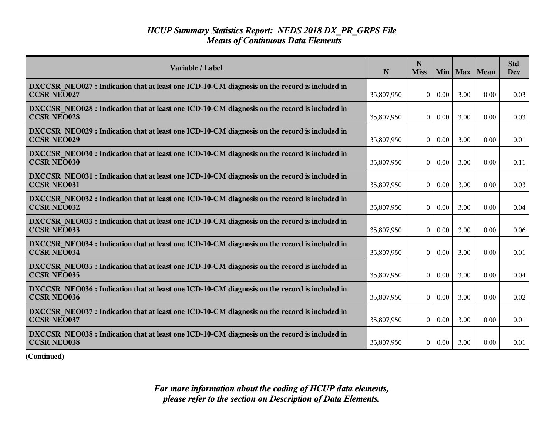| Variable / Label                                                                                                    | N          | N<br><b>Miss</b> | Min      | Max  | Mean | <b>Std</b><br>Dev |
|---------------------------------------------------------------------------------------------------------------------|------------|------------------|----------|------|------|-------------------|
| DXCCSR NEO027 : Indication that at least one ICD-10-CM diagnosis on the record is included in<br><b>CCSR NEO027</b> | 35,807,950 | $\overline{0}$   | 0.00     | 3.00 | 0.00 | 0.03              |
| DXCCSR NEO028 : Indication that at least one ICD-10-CM diagnosis on the record is included in<br><b>CCSR NEO028</b> | 35,807,950 | $\vert 0 \vert$  | 0.00     | 3.00 | 0.00 | 0.03              |
| DXCCSR NEO029 : Indication that at least one ICD-10-CM diagnosis on the record is included in<br><b>CCSR NEO029</b> | 35,807,950 | $\theta$         | 0.00     | 3.00 | 0.00 | 0.01              |
| DXCCSR NEO030 : Indication that at least one ICD-10-CM diagnosis on the record is included in<br><b>CCSR NEO030</b> | 35,807,950 | $\overline{0}$   | 0.00     | 3.00 | 0.00 | 0.11              |
| DXCCSR NEO031 : Indication that at least one ICD-10-CM diagnosis on the record is included in<br><b>CCSR NEO031</b> | 35,807,950 | $\overline{0}$   | 0.00     | 3.00 | 0.00 | 0.03              |
| DXCCSR NEO032 : Indication that at least one ICD-10-CM diagnosis on the record is included in<br><b>CCSR NEO032</b> | 35,807,950 | $\bf{0}$         | 0.00     | 3.00 | 0.00 | 0.04              |
| DXCCSR NEO033 : Indication that at least one ICD-10-CM diagnosis on the record is included in<br><b>CCSR NEO033</b> | 35,807,950 | $\theta$         | 0.00     | 3.00 | 0.00 | 0.06              |
| DXCCSR NEO034 : Indication that at least one ICD-10-CM diagnosis on the record is included in<br><b>CCSR NEO034</b> | 35,807,950 | $\overline{0}$   | 0.00     | 3.00 | 0.00 | 0.01              |
| DXCCSR NEO035 : Indication that at least one ICD-10-CM diagnosis on the record is included in<br><b>CCSR NEO035</b> | 35,807,950 | $\overline{0}$   | 0.00     | 3.00 | 0.00 | 0.04              |
| DXCCSR NEO036 : Indication that at least one ICD-10-CM diagnosis on the record is included in<br><b>CCSR NEO036</b> | 35,807,950 | $\theta$         | 0.00     | 3.00 | 0.00 | 0.02              |
| DXCCSR NEO037: Indication that at least one ICD-10-CM diagnosis on the record is included in<br><b>CCSR NEO037</b>  | 35,807,950 | $\overline{0}$   | $0.00\,$ | 3.00 | 0.00 | 0.01              |
| DXCCSR_NEO038: Indication that at least one ICD-10-CM diagnosis on the record is included in<br><b>CCSR NEO038</b>  | 35,807,950 | 0 <sup>1</sup>   | 0.00     | 3.00 | 0.00 | 0.01              |

**(Continued)**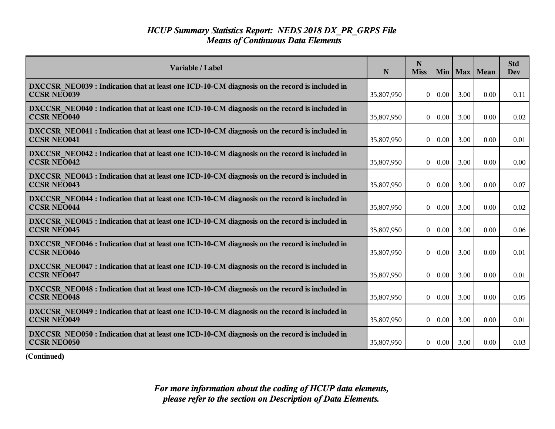| Variable / Label                                                                                                    | N          | N<br><b>Miss</b> | Min      | Max  | Mean | <b>Std</b><br>Dev |
|---------------------------------------------------------------------------------------------------------------------|------------|------------------|----------|------|------|-------------------|
| DXCCSR NEO039 : Indication that at least one ICD-10-CM diagnosis on the record is included in<br><b>CCSR NEO039</b> | 35,807,950 | $\overline{0}$   | 0.00     | 3.00 | 0.00 | 0.11              |
| DXCCSR NEO040 : Indication that at least one ICD-10-CM diagnosis on the record is included in<br><b>CCSR NEO040</b> | 35,807,950 | $\vert 0 \vert$  | 0.00     | 3.00 | 0.00 | 0.02              |
| DXCCSR NEO041 : Indication that at least one ICD-10-CM diagnosis on the record is included in<br><b>CCSR NEO041</b> | 35,807,950 | $\theta$         | 0.00     | 3.00 | 0.00 | 0.01              |
| DXCCSR NEO042 : Indication that at least one ICD-10-CM diagnosis on the record is included in<br><b>CCSR NEO042</b> | 35,807,950 | 0                | 0.00     | 3.00 | 0.00 | 0.00              |
| DXCCSR NEO043 : Indication that at least one ICD-10-CM diagnosis on the record is included in<br><b>CCSR NEO043</b> | 35,807,950 | $\overline{0}$   | 0.00     | 3.00 | 0.00 | 0.07              |
| DXCCSR NEO044 : Indication that at least one ICD-10-CM diagnosis on the record is included in<br><b>CCSR NEO044</b> | 35,807,950 | $\bf{0}$         | 0.00     | 3.00 | 0.00 | 0.02              |
| DXCCSR NEO045 : Indication that at least one ICD-10-CM diagnosis on the record is included in<br><b>CCSR NEO045</b> | 35,807,950 | $\theta$         | 0.00     | 3.00 | 0.00 | 0.06              |
| DXCCSR NEO046 : Indication that at least one ICD-10-CM diagnosis on the record is included in<br><b>CCSR NEO046</b> | 35,807,950 | $\overline{0}$   | 0.00     | 3.00 | 0.00 | 0.01              |
| DXCCSR NEO047 : Indication that at least one ICD-10-CM diagnosis on the record is included in<br><b>CCSR NEO047</b> | 35,807,950 | $\overline{0}$   | 0.00     | 3.00 | 0.00 | 0.01              |
| DXCCSR NEO048 : Indication that at least one ICD-10-CM diagnosis on the record is included in<br><b>CCSR NEO048</b> | 35,807,950 | $\theta$         | 0.00     | 3.00 | 0.00 | 0.05              |
| DXCCSR NEO049 : Indication that at least one ICD-10-CM diagnosis on the record is included in<br><b>CCSR NEO049</b> | 35,807,950 | $\overline{0}$   | $0.00\,$ | 3.00 | 0.00 | 0.01              |
| DXCCSR_NEO050: Indication that at least one ICD-10-CM diagnosis on the record is included in<br><b>CCSR NEO050</b>  | 35,807,950 | 0 <sup>1</sup>   | 0.00     | 3.00 | 0.00 | 0.03              |

**(Continued)**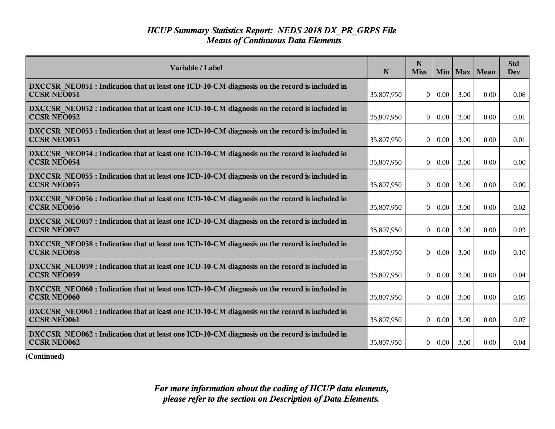| Variable / Label                                                                                                    | N          | N<br><b>Miss</b> | Min      | Max  | Mean | <b>Std</b><br>Dev |
|---------------------------------------------------------------------------------------------------------------------|------------|------------------|----------|------|------|-------------------|
| DXCCSR NEO051 : Indication that at least one ICD-10-CM diagnosis on the record is included in<br><b>CCSR NEO051</b> | 35,807,950 | $\overline{0}$   | 0.00     | 3.00 | 0.00 | 0.08              |
| DXCCSR NEO052 : Indication that at least one ICD-10-CM diagnosis on the record is included in<br><b>CCSR NEO052</b> | 35,807,950 | $\vert 0 \vert$  | 0.00     | 3.00 | 0.00 | 0.01              |
| DXCCSR NEO053 : Indication that at least one ICD-10-CM diagnosis on the record is included in<br><b>CCSR NEO053</b> | 35,807,950 | $\theta$         | 0.00     | 3.00 | 0.00 | 0.01              |
| DXCCSR NEO054 : Indication that at least one ICD-10-CM diagnosis on the record is included in<br><b>CCSR NEO054</b> | 35,807,950 | $\overline{0}$   | 0.00     | 3.00 | 0.00 | 0.00              |
| DXCCSR NEO055 : Indication that at least one ICD-10-CM diagnosis on the record is included in<br><b>CCSR NEO055</b> | 35,807,950 | $\overline{0}$   | 0.00     | 3.00 | 0.00 | 0.00              |
| DXCCSR NEO056 : Indication that at least one ICD-10-CM diagnosis on the record is included in<br><b>CCSR NEO056</b> | 35,807,950 | $\bf{0}$         | 0.00     | 3.00 | 0.00 | 0.02              |
| DXCCSR NEO057: Indication that at least one ICD-10-CM diagnosis on the record is included in<br><b>CCSR NEO057</b>  | 35,807,950 | $\theta$         | 0.00     | 3.00 | 0.00 | 0.03              |
| DXCCSR NEO058 : Indication that at least one ICD-10-CM diagnosis on the record is included in<br><b>CCSR NEO058</b> | 35,807,950 | $\overline{0}$   | 0.00     | 3.00 | 0.00 | 0.10              |
| DXCCSR NEO059 : Indication that at least one ICD-10-CM diagnosis on the record is included in<br><b>CCSR NEO059</b> | 35,807,950 | $\overline{0}$   | 0.00     | 3.00 | 0.00 | 0.04              |
| DXCCSR NEO060 : Indication that at least one ICD-10-CM diagnosis on the record is included in<br><b>CCSR NEO060</b> | 35,807,950 | $\theta$         | 0.00     | 3.00 | 0.00 | 0.05              |
| DXCCSR NEO061 : Indication that at least one ICD-10-CM diagnosis on the record is included in<br><b>CCSR NEO061</b> | 35,807,950 | $\overline{0}$   | $0.00\,$ | 3.00 | 0.00 | 0.07              |
| DXCCSR_NEO062 : Indication that at least one ICD-10-CM diagnosis on the record is included in<br><b>CCSR NEO062</b> | 35,807,950 | 0 <sup>1</sup>   | 0.00     | 3.00 | 0.00 | 0.04              |

**(Continued)**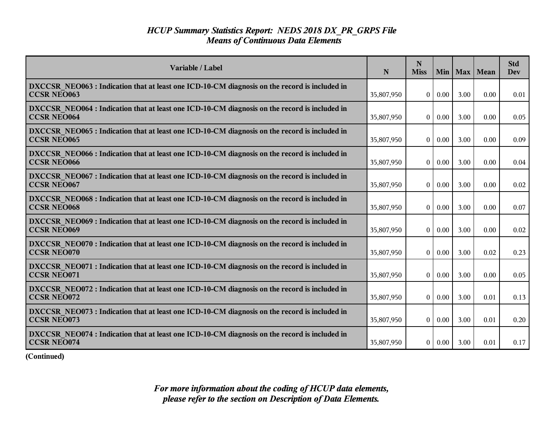| Variable / Label                                                                                                    | N          | N<br><b>Miss</b>  | Min 1    | Max  | Mean | <b>Std</b><br><b>Dev</b> |
|---------------------------------------------------------------------------------------------------------------------|------------|-------------------|----------|------|------|--------------------------|
| DXCCSR NEO063 : Indication that at least one ICD-10-CM diagnosis on the record is included in<br><b>CCSR NEO063</b> | 35,807,950 | $\overline{0}$    | 0.00     | 3.00 | 0.00 | 0.01                     |
| DXCCSR NEO064 : Indication that at least one ICD-10-CM diagnosis on the record is included in<br><b>CCSR NEO064</b> | 35,807,950 | $\overline{0}$    | 0.00     | 3.00 | 0.00 | 0.05                     |
| DXCCSR NEO065 : Indication that at least one ICD-10-CM diagnosis on the record is included in<br><b>CCSR NEO065</b> | 35,807,950 | $\theta$          | 0.00     | 3.00 | 0.00 | 0.09                     |
| DXCCSR NEO066 : Indication that at least one ICD-10-CM diagnosis on the record is included in<br><b>CCSR NEO066</b> | 35,807,950 | $\vert 0 \vert$   | 0.00     | 3.00 | 0.00 | 0.04                     |
| DXCCSR_NEO067: Indication that at least one ICD-10-CM diagnosis on the record is included in<br><b>CCSR NEO067</b>  | 35,807,950 | 0 <sup>1</sup>    | 0.00     | 3.00 | 0.00 | 0.02                     |
| DXCCSR NEO068 : Indication that at least one ICD-10-CM diagnosis on the record is included in<br><b>CCSR NEO068</b> | 35,807,950 | $\bf{0}$          | 0.00     | 3.00 | 0.00 | 0.07                     |
| DXCCSR NEO069 : Indication that at least one ICD-10-CM diagnosis on the record is included in<br><b>CCSR NEO069</b> | 35,807,950 | $\theta$          | 0.00     | 3.00 | 0.00 | 0.02                     |
| DXCCSR NEO070 : Indication that at least one ICD-10-CM diagnosis on the record is included in<br><b>CCSR NEO070</b> | 35,807,950 | $\overline{0}$    | 0.00     | 3.00 | 0.02 | 0.23                     |
| DXCCSR NEO071 : Indication that at least one ICD-10-CM diagnosis on the record is included in<br><b>CCSR NEO071</b> | 35,807,950 | $\overline{0}$    | 0.00     | 3.00 | 0.00 | 0.05                     |
| DXCCSR NEO072 : Indication that at least one ICD-10-CM diagnosis on the record is included in<br><b>CCSR NEO072</b> | 35,807,950 | $\bf{0}$          | 0.00     | 3.00 | 0.01 | 0.13                     |
| DXCCSR NEO073 : Indication that at least one ICD-10-CM diagnosis on the record is included in<br><b>CCSR NEO073</b> | 35,807,950 | $\vert$ 0 $\vert$ | $0.00\,$ | 3.00 | 0.01 | 0.20                     |
| DXCCSR_NEO074: Indication that at least one ICD-10-CM diagnosis on the record is included in<br><b>CCSR NEO074</b>  | 35,807,950 | 0 <sup>1</sup>    | $0.00\,$ | 3.00 | 0.01 | 0.17                     |

**(Continued)**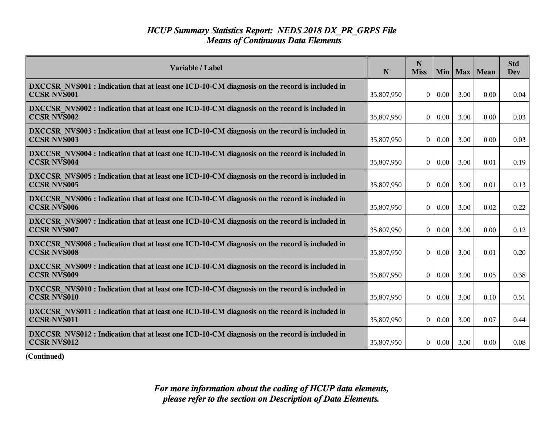| Variable / Label                                                                                                    | N          | N<br><b>Miss</b> |          | Min   Max | <b>Mean</b> | <b>Std</b><br><b>Dev</b> |
|---------------------------------------------------------------------------------------------------------------------|------------|------------------|----------|-----------|-------------|--------------------------|
| DXCCSR NVS001 : Indication that at least one ICD-10-CM diagnosis on the record is included in<br><b>CCSR NVS001</b> | 35,807,950 | $\overline{0}$   | 0.00     | 3.00      | 0.00        | 0.04                     |
| DXCCSR_NVS002 : Indication that at least one ICD-10-CM diagnosis on the record is included in<br><b>CCSR NVS002</b> | 35,807,950 | $\overline{0}$   | 0.00     | 3.00      | 0.00        | 0.03                     |
| DXCCSR NVS003 : Indication that at least one ICD-10-CM diagnosis on the record is included in<br><b>CCSR NVS003</b> | 35,807,950 | $\theta$         | 0.00     | 3.00      | 0.00        | 0.03                     |
| DXCCSR NVS004 : Indication that at least one ICD-10-CM diagnosis on the record is included in<br><b>CCSR NVS004</b> | 35,807,950 | $\overline{0}$   | 0.00     | 3.00      | 0.01        | 0.19                     |
| DXCCSR NVS005 : Indication that at least one ICD-10-CM diagnosis on the record is included in<br><b>CCSR NVS005</b> | 35,807,950 |                  | 0   0.00 | 3.00      | 0.01        | 0.13                     |
| DXCCSR NVS006 : Indication that at least one ICD-10-CM diagnosis on the record is included in<br><b>CCSR NVS006</b> | 35,807,950 | $\overline{0}$   | 0.00     | 3.00      | 0.02        | 0.22                     |
| DXCCSR NVS007 : Indication that at least one ICD-10-CM diagnosis on the record is included in<br><b>CCSR NVS007</b> | 35,807,950 | $\theta$         | 0.00     | 3.00      | 0.00        | 0.12                     |
| DXCCSR NVS008 : Indication that at least one ICD-10-CM diagnosis on the record is included in<br><b>CCSR NVS008</b> | 35,807,950 | $\overline{0}$   | 0.00     | 3.00      | 0.01        | 0.20                     |
| DXCCSR NVS009 : Indication that at least one ICD-10-CM diagnosis on the record is included in<br><b>CCSR NVS009</b> | 35,807,950 | $\overline{0}$   | 0.00     | 3.00      | 0.05        | 0.38                     |
| DXCCSR NVS010 : Indication that at least one ICD-10-CM diagnosis on the record is included in<br><b>CCSR NVS010</b> | 35,807,950 | $\bf{0}$         | 0.00     | 3.00      | 0.10        | 0.51                     |
| DXCCSR NVS011 : Indication that at least one ICD-10-CM diagnosis on the record is included in<br><b>CCSR NVS011</b> | 35,807,950 | $\overline{0}$   | $0.00\,$ | 3.00      | 0.07        | 0.44                     |
| DXCCSR NVS012 : Indication that at least one ICD-10-CM diagnosis on the record is included in<br><b>CCSR NVS012</b> | 35,807,950 |                  | 0   0.00 | 3.00      | 0.00        | 0.08                     |

**(Continued)**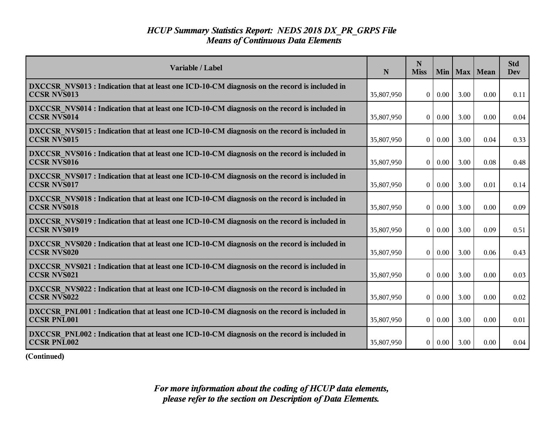| Variable / Label                                                                                                    | N          | N<br><b>Miss</b> | Min      | Max  | Mean | <b>Std</b><br><b>Dev</b> |
|---------------------------------------------------------------------------------------------------------------------|------------|------------------|----------|------|------|--------------------------|
| DXCCSR NVS013 : Indication that at least one ICD-10-CM diagnosis on the record is included in<br><b>CCSR NVS013</b> | 35,807,950 | $\overline{0}$   | 0.00     | 3.00 | 0.00 | 0.11                     |
| DXCCSR NVS014 : Indication that at least one ICD-10-CM diagnosis on the record is included in<br><b>CCSR NVS014</b> | 35,807,950 | $\overline{0}$   | 0.00     | 3.00 | 0.00 | 0.04                     |
| DXCCSR NVS015 : Indication that at least one ICD-10-CM diagnosis on the record is included in<br><b>CCSR NVS015</b> | 35,807,950 | $\theta$         | 0.00     | 3.00 | 0.04 | 0.33                     |
| DXCCSR_NVS016 : Indication that at least one ICD-10-CM diagnosis on the record is included in<br><b>CCSR NVS016</b> | 35,807,950 | $\vert 0 \vert$  | 0.00     | 3.00 | 0.08 | 0.48                     |
| DXCCSR_NVS017: Indication that at least one ICD-10-CM diagnosis on the record is included in<br><b>CCSR NVS017</b>  | 35,807,950 | $\overline{0}$   | 0.00     | 3.00 | 0.01 | 0.14                     |
| DXCCSR NVS018 : Indication that at least one ICD-10-CM diagnosis on the record is included in<br><b>CCSR NVS018</b> | 35,807,950 | $\bf{0}$         | 0.00     | 3.00 | 0.00 | 0.09                     |
| DXCCSR NVS019 : Indication that at least one ICD-10-CM diagnosis on the record is included in<br><b>CCSR NVS019</b> | 35,807,950 | $\theta$         | 0.00     | 3.00 | 0.09 | 0.51                     |
| DXCCSR NVS020 : Indication that at least one ICD-10-CM diagnosis on the record is included in<br><b>CCSR NVS020</b> | 35,807,950 | $\overline{0}$   | 0.00     | 3.00 | 0.06 | 0.43                     |
| DXCCSR NVS021 : Indication that at least one ICD-10-CM diagnosis on the record is included in<br><b>CCSR NVS021</b> | 35,807,950 | $\overline{0}$   | 0.00     | 3.00 | 0.00 | 0.03                     |
| DXCCSR NVS022 : Indication that at least one ICD-10-CM diagnosis on the record is included in<br><b>CCSR NVS022</b> | 35,807,950 | $\theta$         | 0.00     | 3.00 | 0.00 | 0.02                     |
| DXCCSR PNL001 : Indication that at least one ICD-10-CM diagnosis on the record is included in<br><b>CCSR PNL001</b> | 35,807,950 | $\overline{0}$   | $0.00\,$ | 3.00 | 0.00 | 0.01                     |
| DXCCSR PNL002 : Indication that at least one ICD-10-CM diagnosis on the record is included in<br><b>CCSR PNL002</b> | 35,807,950 | 0 <sup>1</sup>   | $0.00\,$ | 3.00 | 0.00 | 0.04                     |

**(Continued)**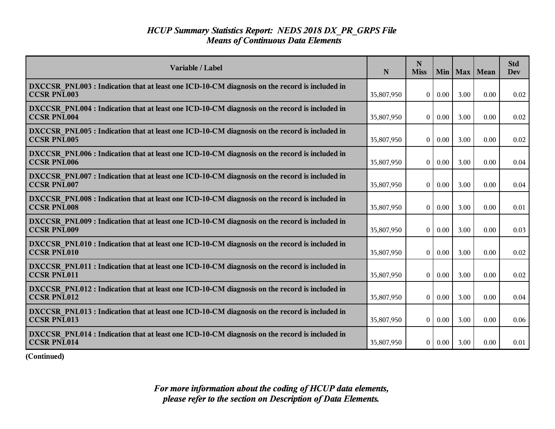| Variable / Label                                                                                                    | N          | N<br><b>Miss</b> | Min      | Max  | Mean | <b>Std</b><br>Dev |
|---------------------------------------------------------------------------------------------------------------------|------------|------------------|----------|------|------|-------------------|
| DXCCSR PNL003 : Indication that at least one ICD-10-CM diagnosis on the record is included in<br><b>CCSR PNL003</b> | 35,807,950 | $\overline{0}$   | 0.00     | 3.00 | 0.00 | 0.02              |
| DXCCSR PNL004 : Indication that at least one ICD-10-CM diagnosis on the record is included in<br><b>CCSR PNL004</b> | 35,807,950 | $\vert 0 \vert$  | 0.00     | 3.00 | 0.00 | 0.02              |
| DXCCSR PNL005 : Indication that at least one ICD-10-CM diagnosis on the record is included in<br><b>CCSR PNL005</b> | 35,807,950 | $\theta$         | 0.00     | 3.00 | 0.00 | 0.02              |
| DXCCSR PNL006 : Indication that at least one ICD-10-CM diagnosis on the record is included in<br><b>CCSR PNL006</b> | 35,807,950 | $\overline{0}$   | 0.00     | 3.00 | 0.00 | 0.04              |
| DXCCSR PNL007 : Indication that at least one ICD-10-CM diagnosis on the record is included in<br><b>CCSR PNL007</b> | 35,807,950 | $\overline{0}$   | 0.00     | 3.00 | 0.00 | 0.04              |
| DXCCSR PNL008 : Indication that at least one ICD-10-CM diagnosis on the record is included in<br><b>CCSR PNL008</b> | 35,807,950 | $\bf{0}$         | 0.00     | 3.00 | 0.00 | 0.01              |
| DXCCSR PNL009 : Indication that at least one ICD-10-CM diagnosis on the record is included in<br><b>CCSR PNL009</b> | 35,807,950 | $\theta$         | 0.00     | 3.00 | 0.00 | 0.03              |
| DXCCSR PNL010 : Indication that at least one ICD-10-CM diagnosis on the record is included in<br><b>CCSR PNL010</b> | 35,807,950 | $\overline{0}$   | 0.00     | 3.00 | 0.00 | 0.02              |
| DXCCSR PNL011 : Indication that at least one ICD-10-CM diagnosis on the record is included in<br><b>CCSR PNL011</b> | 35,807,950 | $\overline{0}$   | 0.00     | 3.00 | 0.00 | 0.02              |
| DXCCSR PNL012 : Indication that at least one ICD-10-CM diagnosis on the record is included in<br><b>CCSR PNL012</b> | 35,807,950 | $\theta$         | 0.00     | 3.00 | 0.00 | 0.04              |
| DXCCSR PNL013 : Indication that at least one ICD-10-CM diagnosis on the record is included in<br><b>CCSR PNL013</b> | 35,807,950 | $\overline{0}$   | $0.00\,$ | 3.00 | 0.00 | 0.06              |
| DXCCSR PNL014 : Indication that at least one ICD-10-CM diagnosis on the record is included in<br><b>CCSR PNL014</b> | 35,807,950 | 0 <sup>1</sup>   | 0.00     | 3.00 | 0.00 | 0.01              |

**(Continued)**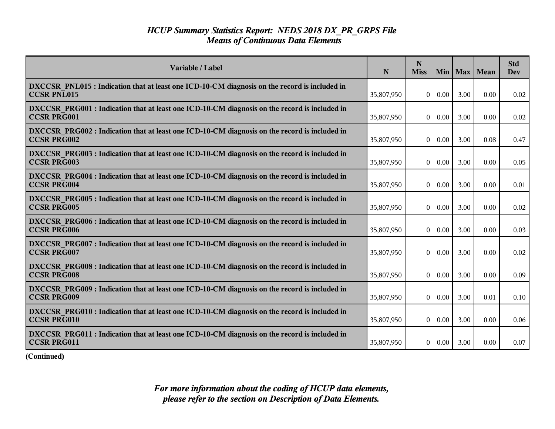| Variable / Label                                                                                                    | N          | N<br><b>Miss</b>  | Min      | Max  | Mean | <b>Std</b><br>Dev |
|---------------------------------------------------------------------------------------------------------------------|------------|-------------------|----------|------|------|-------------------|
| DXCCSR PNL015 : Indication that at least one ICD-10-CM diagnosis on the record is included in<br><b>CCSR PNL015</b> | 35,807,950 | $\overline{0}$    | 0.00     | 3.00 | 0.00 | 0.02              |
| DXCCSR PRG001 : Indication that at least one ICD-10-CM diagnosis on the record is included in<br><b>CCSR PRG001</b> | 35,807,950 | $\overline{0}$    | 0.00     | 3.00 | 0.00 | 0.02              |
| DXCCSR PRG002 : Indication that at least one ICD-10-CM diagnosis on the record is included in<br><b>CCSR PRG002</b> | 35,807,950 | $\theta$          | 0.00     | 3.00 | 0.08 | 0.47              |
| DXCCSR PRG003 : Indication that at least one ICD-10-CM diagnosis on the record is included in<br><b>CCSR PRG003</b> | 35,807,950 | 0                 | 0.00     | 3.00 | 0.00 | 0.05              |
| DXCCSR PRG004 : Indication that at least one ICD-10-CM diagnosis on the record is included in<br><b>CCSR PRG004</b> | 35,807,950 | 0 <sup>1</sup>    | 0.00     | 3.00 | 0.00 | 0.01              |
| DXCCSR PRG005 : Indication that at least one ICD-10-CM diagnosis on the record is included in<br><b>CCSR PRG005</b> | 35,807,950 | $\bf{0}$          | 0.00     | 3.00 | 0.00 | 0.02              |
| DXCCSR PRG006 : Indication that at least one ICD-10-CM diagnosis on the record is included in<br><b>CCSR PRG006</b> | 35,807,950 | $\theta$          | 0.00     | 3.00 | 0.00 | 0.03              |
| DXCCSR PRG007 : Indication that at least one ICD-10-CM diagnosis on the record is included in<br><b>CCSR PRG007</b> | 35,807,950 | $\overline{0}$    | 0.00     | 3.00 | 0.00 | 0.02              |
| DXCCSR PRG008 : Indication that at least one ICD-10-CM diagnosis on the record is included in<br><b>CCSR PRG008</b> | 35,807,950 | $\overline{0}$    | 0.00     | 3.00 | 0.00 | 0.09              |
| DXCCSR PRG009 : Indication that at least one ICD-10-CM diagnosis on the record is included in<br><b>CCSR PRG009</b> | 35,807,950 | $\bf{0}$          | 0.00     | 3.00 | 0.01 | 0.10              |
| DXCCSR PRG010 : Indication that at least one ICD-10-CM diagnosis on the record is included in<br><b>CCSR PRG010</b> | 35,807,950 | $\vert$ 0 $\vert$ | $0.00\,$ | 3.00 | 0.00 | 0.06              |
| DXCCSR PRG011 : Indication that at least one ICD-10-CM diagnosis on the record is included in<br>CCSR PRG011        | 35,807,950 | 0 <sup>1</sup>    | $0.00\,$ | 3.00 | 0.00 | 0.07              |

**(Continued)**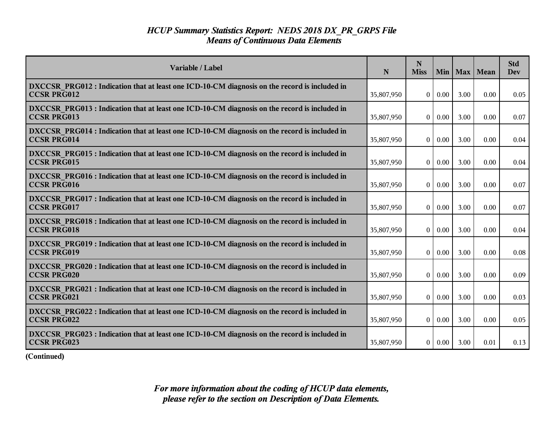| Variable / Label                                                                                                    | N          | N<br><b>Miss</b> | Min  | Max  | Mean | <b>Std</b><br>Dev |
|---------------------------------------------------------------------------------------------------------------------|------------|------------------|------|------|------|-------------------|
| DXCCSR PRG012 : Indication that at least one ICD-10-CM diagnosis on the record is included in<br><b>CCSR PRG012</b> | 35,807,950 | $\vert 0 \vert$  | 0.00 | 3.00 | 0.00 | 0.05              |
| DXCCSR PRG013 : Indication that at least one ICD-10-CM diagnosis on the record is included in<br><b>CCSR PRG013</b> | 35,807,950 | $\vert 0 \vert$  | 0.00 | 3.00 | 0.00 | 0.07              |
| DXCCSR PRG014 : Indication that at least one ICD-10-CM diagnosis on the record is included in<br><b>CCSR PRG014</b> | 35,807,950 | $\theta$         | 0.00 | 3.00 | 0.00 | 0.04              |
| DXCCSR PRG015 : Indication that at least one ICD-10-CM diagnosis on the record is included in<br><b>CCSR PRG015</b> | 35,807,950 | $\overline{0}$   | 0.00 | 3.00 | 0.00 | 0.04              |
| DXCCSR PRG016 : Indication that at least one ICD-10-CM diagnosis on the record is included in<br><b>CCSR PRG016</b> | 35,807,950 | $\overline{0}$   | 0.00 | 3.00 | 0.00 | 0.07              |
| DXCCSR PRG017: Indication that at least one ICD-10-CM diagnosis on the record is included in<br><b>CCSR PRG017</b>  | 35,807,950 | $\bf{0}$         | 0.00 | 3.00 | 0.00 | 0.07              |
| DXCCSR PRG018 : Indication that at least one ICD-10-CM diagnosis on the record is included in<br><b>CCSR PRG018</b> | 35,807,950 | $\theta$         | 0.00 | 3.00 | 0.00 | 0.04              |
| DXCCSR PRG019 : Indication that at least one ICD-10-CM diagnosis on the record is included in<br><b>CCSR PRG019</b> | 35,807,950 | $\overline{0}$   | 0.00 | 3.00 | 0.00 | 0.08              |
| DXCCSR PRG020 : Indication that at least one ICD-10-CM diagnosis on the record is included in<br><b>CCSR PRG020</b> | 35,807,950 | $\overline{0}$   | 0.00 | 3.00 | 0.00 | 0.09              |
| DXCCSR PRG021 : Indication that at least one ICD-10-CM diagnosis on the record is included in<br><b>CCSR PRG021</b> | 35,807,950 | $\theta$         | 0.00 | 3.00 | 0.00 | 0.03              |
| DXCCSR PRG022 : Indication that at least one ICD-10-CM diagnosis on the record is included in<br><b>CCSR PRG022</b> | 35,807,950 | $\overline{0}$   | 0.00 | 3.00 | 0.00 | 0.05              |
| DXCCSR PRG023 : Indication that at least one ICD-10-CM diagnosis on the record is included in<br><b>CCSR PRG023</b> | 35,807,950 | 0 <sup>1</sup>   | 0.00 | 3.00 | 0.01 | 0.13              |

**(Continued)**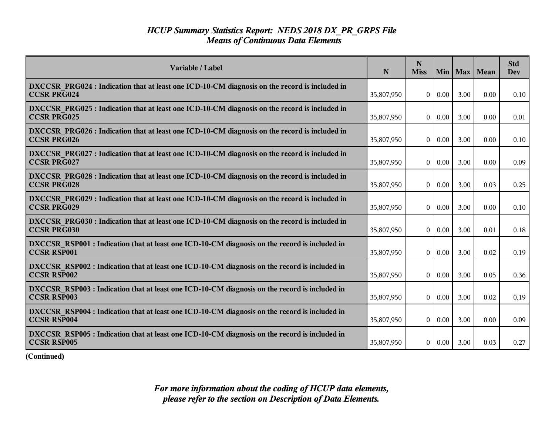| Variable / Label                                                                                                    | N          | N<br><b>Miss</b> |      |      | Min   Max   Mean | <b>Std</b><br><b>Dev</b> |
|---------------------------------------------------------------------------------------------------------------------|------------|------------------|------|------|------------------|--------------------------|
| DXCCSR PRG024 : Indication that at least one ICD-10-CM diagnosis on the record is included in<br><b>CCSR PRG024</b> | 35,807,950 | $\overline{0}$   | 0.00 | 3.00 | 0.00             | 0.10                     |
| DXCCSR PRG025 : Indication that at least one ICD-10-CM diagnosis on the record is included in<br><b>CCSR PRG025</b> | 35,807,950 | $\theta$         | 0.00 | 3.00 | 0.00             | 0.01                     |
| DXCCSR PRG026 : Indication that at least one ICD-10-CM diagnosis on the record is included in<br><b>CCSR PRG026</b> | 35,807,950 | $\theta$         | 0.00 | 3.00 | 0.00             | 0.10                     |
| DXCCSR PRG027 : Indication that at least one ICD-10-CM diagnosis on the record is included in<br><b>CCSR PRG027</b> | 35,807,950 | $\theta$         | 0.00 | 3.00 | 0.00             | 0.09                     |
| DXCCSR PRG028 : Indication that at least one ICD-10-CM diagnosis on the record is included in<br><b>CCSR PRG028</b> | 35,807,950 | $\overline{0}$   | 0.00 | 3.00 | 0.03             | 0.25                     |
| DXCCSR PRG029 : Indication that at least one ICD-10-CM diagnosis on the record is included in<br><b>CCSR PRG029</b> | 35,807,950 | $\theta$         | 0.00 | 3.00 | 0.00             | 0.10                     |
| DXCCSR PRG030 : Indication that at least one ICD-10-CM diagnosis on the record is included in<br><b>CCSR PRG030</b> | 35,807,950 | $\mathbf{0}$     | 0.00 | 3.00 | 0.01             | 0.18                     |
| DXCCSR RSP001 : Indication that at least one ICD-10-CM diagnosis on the record is included in<br><b>CCSR RSP001</b> | 35,807,950 | $\overline{0}$   | 0.00 | 3.00 | 0.02             | 0.19                     |
| DXCCSR RSP002 : Indication that at least one ICD-10-CM diagnosis on the record is included in<br><b>CCSR RSP002</b> | 35,807,950 | $\theta$         | 0.00 | 3.00 | 0.05             | 0.36                     |
| DXCCSR RSP003 : Indication that at least one ICD-10-CM diagnosis on the record is included in<br><b>CCSR RSP003</b> | 35,807,950 | $\theta$         | 0.00 | 3.00 | 0.02             | 0.19                     |
| DXCCSR_RSP004 : Indication that at least one ICD-10-CM diagnosis on the record is included in<br><b>CCSR RSP004</b> | 35,807,950 | $\overline{0}$   | 0.00 | 3.00 | 0.00             | 0.09                     |
| DXCCSR RSP005 : Indication that at least one ICD-10-CM diagnosis on the record is included in<br><b>CCSR RSP005</b> | 35,807,950 | $\overline{0}$   | 0.00 | 3.00 | 0.03             | 0.27                     |

**(Continued)**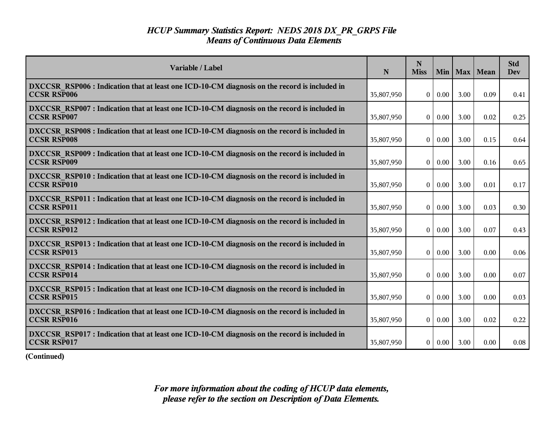| Variable / Label                                                                                                    | N          | N<br><b>Miss</b> |                    |      | Min   Max   Mean | <b>Std</b><br>Dev |
|---------------------------------------------------------------------------------------------------------------------|------------|------------------|--------------------|------|------------------|-------------------|
| DXCCSR RSP006 : Indication that at least one ICD-10-CM diagnosis on the record is included in<br><b>CCSR RSP006</b> | 35,807,950 |                  | $0 \mid 0.00$      | 3.00 | 0.09             | 0.41              |
| DXCCSR RSP007 : Indication that at least one ICD-10-CM diagnosis on the record is included in<br><b>CCSR RSP007</b> | 35,807,950 | $\theta$         | 0.00               | 3.00 | 0.02             | 0.25              |
| DXCCSR RSP008 : Indication that at least one ICD-10-CM diagnosis on the record is included in<br><b>CCSR RSP008</b> | 35,807,950 | $\theta$         | 0.00               | 3.00 | 0.15             | 0.64              |
| DXCCSR RSP009 : Indication that at least one ICD-10-CM diagnosis on the record is included in<br><b>CCSR RSP009</b> | 35,807,950 | $\theta$         | 0.00               | 3.00 | 0.16             | 0.65              |
| DXCCSR RSP010 : Indication that at least one ICD-10-CM diagnosis on the record is included in<br><b>CCSR RSP010</b> | 35,807,950 | $\overline{0}$   | 0.00               | 3.00 | 0.01             | 0.17              |
| DXCCSR RSP011 : Indication that at least one ICD-10-CM diagnosis on the record is included in<br><b>CCSR RSP011</b> | 35,807,950 | $\theta$         | 0.00               | 3.00 | 0.03             | 0.30              |
| DXCCSR RSP012 : Indication that at least one ICD-10-CM diagnosis on the record is included in<br><b>CCSR RSP012</b> | 35,807,950 | $\mathbf{0}$     | 0.00               | 3.00 | 0.07             | 0.43              |
| DXCCSR RSP013 : Indication that at least one ICD-10-CM diagnosis on the record is included in<br><b>CCSR RSP013</b> | 35,807,950 | $\theta$         | 0.00               | 3.00 | 0.00             | 0.06              |
| DXCCSR RSP014 : Indication that at least one ICD-10-CM diagnosis on the record is included in<br><b>CCSR RSP014</b> | 35,807,950 | $\mathbf{0}$     | 0.00               | 3.00 | 0.00             | 0.07              |
| DXCCSR RSP015 : Indication that at least one ICD-10-CM diagnosis on the record is included in<br><b>CCSR RSP015</b> | 35,807,950 | $\theta$         | 0.00               | 3.00 | 0.00             | 0.03              |
| DXCCSR RSP016 : Indication that at least one ICD-10-CM diagnosis on the record is included in<br><b>CCSR RSP016</b> | 35,807,950 | $\overline{0}$   | $\vert 0.00 \vert$ | 3.00 | 0.02             | 0.22              |
| DXCCSR RSP017 : Indication that at least one ICD-10-CM diagnosis on the record is included in<br><b>CCSR RSP017</b> | 35,807,950 | $\overline{0}$   | 0.00               | 3.00 | 0.00             | 0.08              |

**(Continued)**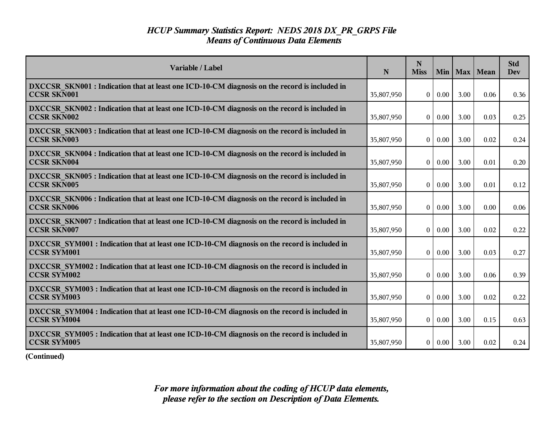| Variable / Label                                                                                                    | N          | N<br><b>Miss</b> | Min  |      | Max   Mean | <b>Std</b><br><b>Dev</b> |
|---------------------------------------------------------------------------------------------------------------------|------------|------------------|------|------|------------|--------------------------|
| DXCCSR SKN001 : Indication that at least one ICD-10-CM diagnosis on the record is included in<br><b>CCSR SKN001</b> | 35,807,950 | $\mathbf{0}$     | 0.00 | 3.00 | 0.06       | 0.36                     |
| DXCCSR_SKN002 : Indication that at least one ICD-10-CM diagnosis on the record is included in<br><b>CCSR SKN002</b> | 35,807,950 | $\overline{0}$   | 0.00 | 3.00 | 0.03       | 0.25                     |
| DXCCSR SKN003 : Indication that at least one ICD-10-CM diagnosis on the record is included in<br><b>CCSR SKN003</b> | 35,807,950 | $\theta$         | 0.00 | 3.00 | 0.02       | 0.24                     |
| DXCCSR SKN004 : Indication that at least one ICD-10-CM diagnosis on the record is included in<br><b>CCSR SKN004</b> | 35,807,950 | $\mathbf{0}$     | 0.00 | 3.00 | 0.01       | 0.20                     |
| DXCCSR SKN005 : Indication that at least one ICD-10-CM diagnosis on the record is included in<br><b>CCSR SKN005</b> | 35,807,950 | $\overline{0}$   | 0.00 | 3.00 | 0.01       | 0.12                     |
| DXCCSR SKN006 : Indication that at least one ICD-10-CM diagnosis on the record is included in<br><b>CCSR SKN006</b> | 35,807,950 | $\mathbf{0}$     | 0.00 | 3.00 | 0.00       | 0.06                     |
| DXCCSR SKN007 : Indication that at least one ICD-10-CM diagnosis on the record is included in<br><b>CCSR SKN007</b> | 35,807,950 | $\mathbf{0}$     | 0.00 | 3.00 | 0.02       | 0.22                     |
| DXCCSR SYM001 : Indication that at least one ICD-10-CM diagnosis on the record is included in<br><b>CCSR SYM001</b> | 35,807,950 | $\theta$         | 0.00 | 3.00 | 0.03       | 0.27                     |
| DXCCSR SYM002 : Indication that at least one ICD-10-CM diagnosis on the record is included in<br><b>CCSR SYM002</b> | 35,807,950 | $\mathbf{0}$     | 0.00 | 3.00 | 0.06       | 0.39                     |
| DXCCSR SYM003 : Indication that at least one ICD-10-CM diagnosis on the record is included in<br><b>CCSR SYM003</b> | 35,807,950 | $\mathbf{0}$     | 0.00 | 3.00 | 0.02       | 0.22                     |
| DXCCSR SYM004 : Indication that at least one ICD-10-CM diagnosis on the record is included in<br><b>CCSR SYM004</b> | 35,807,950 | $\theta$         | 0.00 | 3.00 | 0.15       | 0.63                     |
| DXCCSR SYM005 : Indication that at least one ICD-10-CM diagnosis on the record is included in<br><b>CCSR SYM005</b> | 35,807,950 | 0                | 0.00 | 3.00 | 0.02       | 0.24                     |

**(Continued)**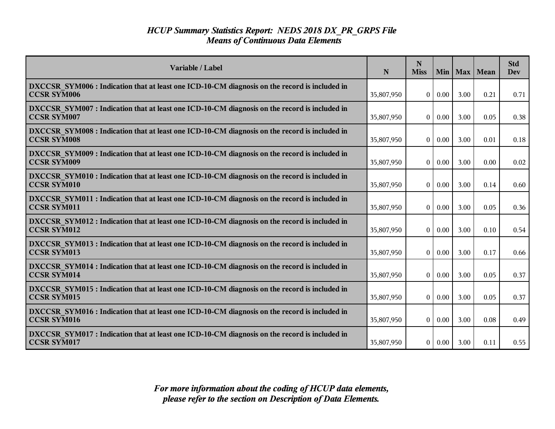| Variable / Label                                                                                                    | N          | N<br><b>Miss</b> | Min  | Max  | Mean | <b>Std</b><br><b>Dev</b> |
|---------------------------------------------------------------------------------------------------------------------|------------|------------------|------|------|------|--------------------------|
| DXCCSR SYM006 : Indication that at least one ICD-10-CM diagnosis on the record is included in<br><b>CCSR SYM006</b> | 35,807,950 | $\vert 0 \vert$  | 0.00 | 3.00 | 0.21 | 0.71                     |
| DXCCSR SYM007: Indication that at least one ICD-10-CM diagnosis on the record is included in<br><b>CCSR SYM007</b>  | 35,807,950 | 0                | 0.00 | 3.00 | 0.05 | 0.38                     |
| DXCCSR SYM008 : Indication that at least one ICD-10-CM diagnosis on the record is included in<br><b>CCSR SYM008</b> | 35,807,950 | $\overline{0}$   | 0.00 | 3.00 | 0.01 | 0.18                     |
| DXCCSR SYM009 : Indication that at least one ICD-10-CM diagnosis on the record is included in<br><b>CCSR SYM009</b> | 35,807,950 | $\Omega$         | 0.00 | 3.00 | 0.00 | 0.02                     |
| DXCCSR SYM010 : Indication that at least one ICD-10-CM diagnosis on the record is included in<br><b>CCSR SYM010</b> | 35,807,950 | 0                | 0.00 | 3.00 | 0.14 | 0.60                     |
| DXCCSR SYM011 : Indication that at least one ICD-10-CM diagnosis on the record is included in<br><b>CCSR SYM011</b> | 35,807,950 | 0                | 0.00 | 3.00 | 0.05 | 0.36                     |
| DXCCSR SYM012 : Indication that at least one ICD-10-CM diagnosis on the record is included in<br><b>CCSR SYM012</b> | 35,807,950 | $\overline{0}$   | 0.00 | 3.00 | 0.10 | 0.54                     |
| DXCCSR SYM013 : Indication that at least one ICD-10-CM diagnosis on the record is included in<br><b>CCSR SYM013</b> | 35,807,950 | $\overline{0}$   | 0.00 | 3.00 | 0.17 | 0.66                     |
| DXCCSR SYM014 : Indication that at least one ICD-10-CM diagnosis on the record is included in<br><b>CCSR SYM014</b> | 35,807,950 | $\Omega$         | 0.00 | 3.00 | 0.05 | 0.37                     |
| DXCCSR_SYM015 : Indication that at least one ICD-10-CM diagnosis on the record is included in<br><b>CCSR SYM015</b> | 35,807,950 | 0                | 0.00 | 3.00 | 0.05 | 0.37                     |
| DXCCSR SYM016 : Indication that at least one ICD-10-CM diagnosis on the record is included in<br><b>CCSR SYM016</b> | 35,807,950 | $\vert 0 \vert$  | 0.00 | 3.00 | 0.08 | 0.49                     |
| DXCCSR SYM017: Indication that at least one ICD-10-CM diagnosis on the record is included in<br><b>CCSR SYM017</b>  | 35,807,950 | 0                | 0.00 | 3.00 | 0.11 | 0.55                     |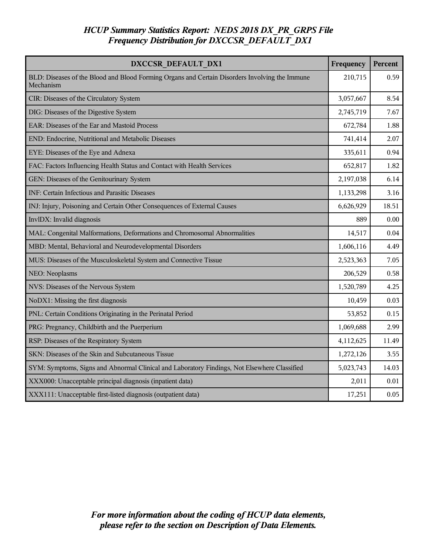# *HCUP Summary Statistics Report: NEDS 2018 DX\_PR\_GRPS File Frequency Distribution for DXCCSR\_DEFAULT\_DX1*

| DXCCSR DEFAULT DX1                                                                                          | Frequency | Percent |
|-------------------------------------------------------------------------------------------------------------|-----------|---------|
| BLD: Diseases of the Blood and Blood Forming Organs and Certain Disorders Involving the Immune<br>Mechanism | 210,715   | 0.59    |
| CIR: Diseases of the Circulatory System                                                                     | 3,057,667 | 8.54    |
| DIG: Diseases of the Digestive System                                                                       | 2,745,719 | 7.67    |
| EAR: Diseases of the Ear and Mastoid Process                                                                | 672,784   | 1.88    |
| END: Endocrine, Nutritional and Metabolic Diseases                                                          | 741,414   | 2.07    |
| EYE: Diseases of the Eye and Adnexa                                                                         | 335,611   | 0.94    |
| FAC: Factors Influencing Health Status and Contact with Health Services                                     | 652,817   | 1.82    |
| GEN: Diseases of the Genitourinary System                                                                   | 2,197,038 | 6.14    |
| INF: Certain Infectious and Parasitic Diseases                                                              | 1,133,298 | 3.16    |
| INJ: Injury, Poisoning and Certain Other Consequences of External Causes                                    | 6,626,929 | 18.51   |
| InvlDX: Invalid diagnosis                                                                                   | 889       | 0.00    |
| MAL: Congenital Malformations, Deformations and Chromosomal Abnormalities                                   | 14,517    | 0.04    |
| MBD: Mental, Behavioral and Neurodevelopmental Disorders                                                    | 1,606,116 | 4.49    |
| MUS: Diseases of the Musculoskeletal System and Connective Tissue                                           | 2,523,363 | 7.05    |
| NEO: Neoplasms                                                                                              | 206,529   | 0.58    |
| NVS: Diseases of the Nervous System                                                                         | 1,520,789 | 4.25    |
| NoDX1: Missing the first diagnosis                                                                          | 10,459    | 0.03    |
| PNL: Certain Conditions Originating in the Perinatal Period                                                 | 53,852    | 0.15    |
| PRG: Pregnancy, Childbirth and the Puerperium                                                               | 1,069,688 | 2.99    |
| RSP: Diseases of the Respiratory System                                                                     | 4,112,625 | 11.49   |
| SKN: Diseases of the Skin and Subcutaneous Tissue                                                           | 1,272,126 | 3.55    |
| SYM: Symptoms, Signs and Abnormal Clinical and Laboratory Findings, Not Elsewhere Classified                | 5,023,743 | 14.03   |
| XXX000: Unacceptable principal diagnosis (inpatient data)                                                   | 2,011     | 0.01    |
| XXX111: Unacceptable first-listed diagnosis (outpatient data)                                               | 17,251    | 0.05    |